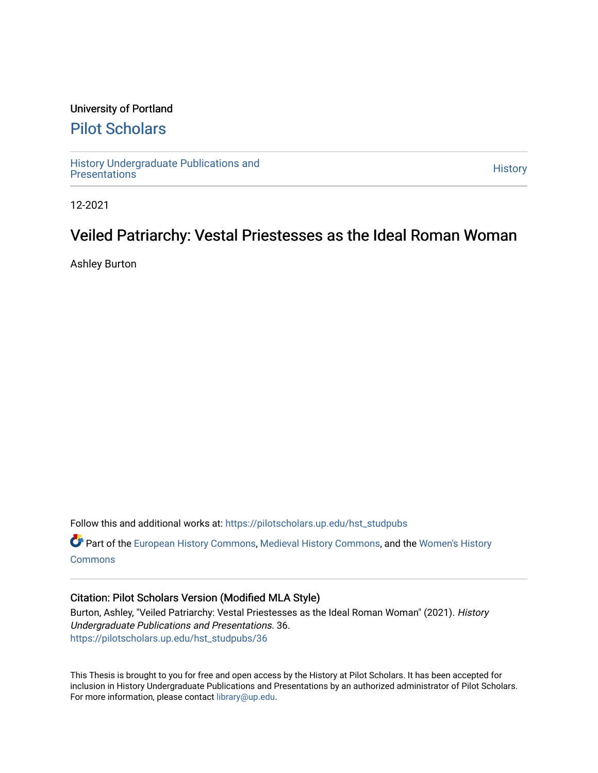#### University of Portland

### [Pilot Scholars](https://pilotscholars.up.edu/)

[History Undergraduate Publications and](https://pilotscholars.up.edu/hst_studpubs) the state of the state of the [History](https://pilotscholars.up.edu/hst) History<br>Presentations

12-2021

## Veiled Patriarchy: Vestal Priestesses as the Ideal Roman Woman

Ashley Burton

Follow this and additional works at: [https://pilotscholars.up.edu/hst\\_studpubs](https://pilotscholars.up.edu/hst_studpubs?utm_source=pilotscholars.up.edu%2Fhst_studpubs%2F36&utm_medium=PDF&utm_campaign=PDFCoverPages) 

Part of the [European History Commons](https://network.bepress.com/hgg/discipline/492?utm_source=pilotscholars.up.edu%2Fhst_studpubs%2F36&utm_medium=PDF&utm_campaign=PDFCoverPages), [Medieval History Commons](https://network.bepress.com/hgg/discipline/503?utm_source=pilotscholars.up.edu%2Fhst_studpubs%2F36&utm_medium=PDF&utm_campaign=PDFCoverPages), and the [Women's History](https://network.bepress.com/hgg/discipline/507?utm_source=pilotscholars.up.edu%2Fhst_studpubs%2F36&utm_medium=PDF&utm_campaign=PDFCoverPages)  **[Commons](https://network.bepress.com/hgg/discipline/507?utm_source=pilotscholars.up.edu%2Fhst_studpubs%2F36&utm_medium=PDF&utm_campaign=PDFCoverPages)** 

#### Citation: Pilot Scholars Version (Modified MLA Style)

Burton, Ashley, "Veiled Patriarchy: Vestal Priestesses as the Ideal Roman Woman" (2021). History Undergraduate Publications and Presentations. 36. [https://pilotscholars.up.edu/hst\\_studpubs/36](https://pilotscholars.up.edu/hst_studpubs/36?utm_source=pilotscholars.up.edu%2Fhst_studpubs%2F36&utm_medium=PDF&utm_campaign=PDFCoverPages) 

This Thesis is brought to you for free and open access by the History at Pilot Scholars. It has been accepted for inclusion in History Undergraduate Publications and Presentations by an authorized administrator of Pilot Scholars. For more information, please contact [library@up.edu.](mailto:library@up.edu)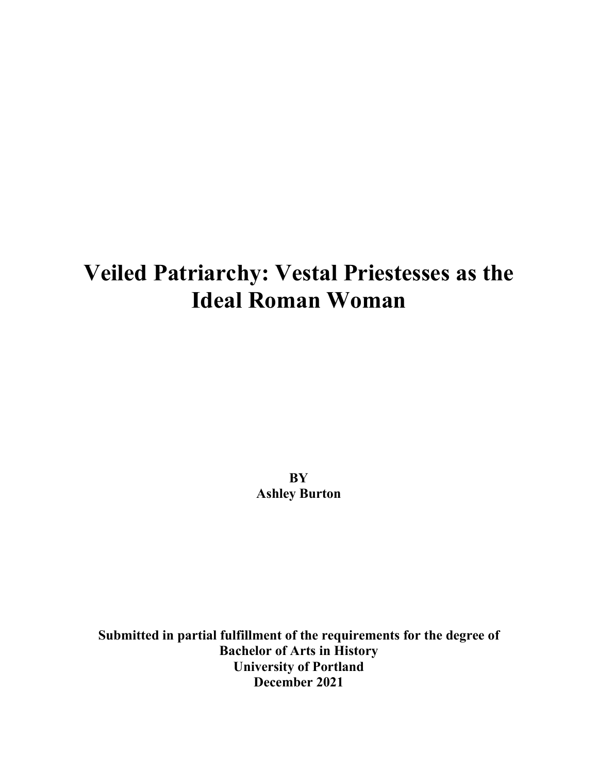# **Veiled Patriarchy: Vestal Priestesses as the Ideal Roman Woman**

**BY Ashley Burton** 

**Submitted in partial fulfillment of the requirements for the degree of Bachelor of Arts in History University of Portland December 2021**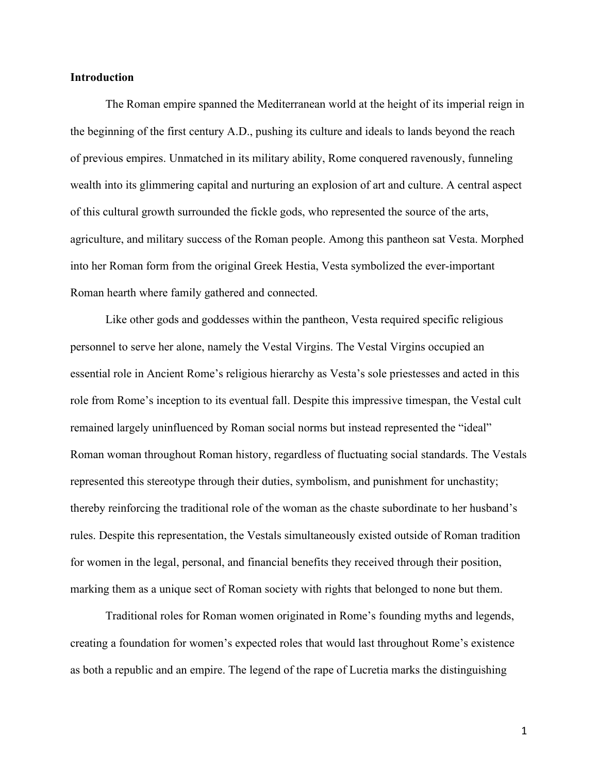#### **Introduction**

The Roman empire spanned the Mediterranean world at the height of its imperial reign in the beginning of the first century A.D., pushing its culture and ideals to lands beyond the reach of previous empires. Unmatched in its military ability, Rome conquered ravenously, funneling wealth into its glimmering capital and nurturing an explosion of art and culture. A central aspect of this cultural growth surrounded the fickle gods, who represented the source of the arts, agriculture, and military success of the Roman people. Among this pantheon sat Vesta. Morphed into her Roman form from the original Greek Hestia, Vesta symbolized the ever-important Roman hearth where family gathered and connected.

Like other gods and goddesses within the pantheon, Vesta required specific religious personnel to serve her alone, namely the Vestal Virgins. The Vestal Virgins occupied an essential role in Ancient Rome's religious hierarchy as Vesta's sole priestesses and acted in this role from Rome's inception to its eventual fall. Despite this impressive timespan, the Vestal cult remained largely uninfluenced by Roman social norms but instead represented the "ideal" Roman woman throughout Roman history, regardless of fluctuating social standards. The Vestals represented this stereotype through their duties, symbolism, and punishment for unchastity; thereby reinforcing the traditional role of the woman as the chaste subordinate to her husband's rules. Despite this representation, the Vestals simultaneously existed outside of Roman tradition for women in the legal, personal, and financial benefits they received through their position, marking them as a unique sect of Roman society with rights that belonged to none but them.

Traditional roles for Roman women originated in Rome's founding myths and legends, creating a foundation for women's expected roles that would last throughout Rome's existence as both a republic and an empire. The legend of the rape of Lucretia marks the distinguishing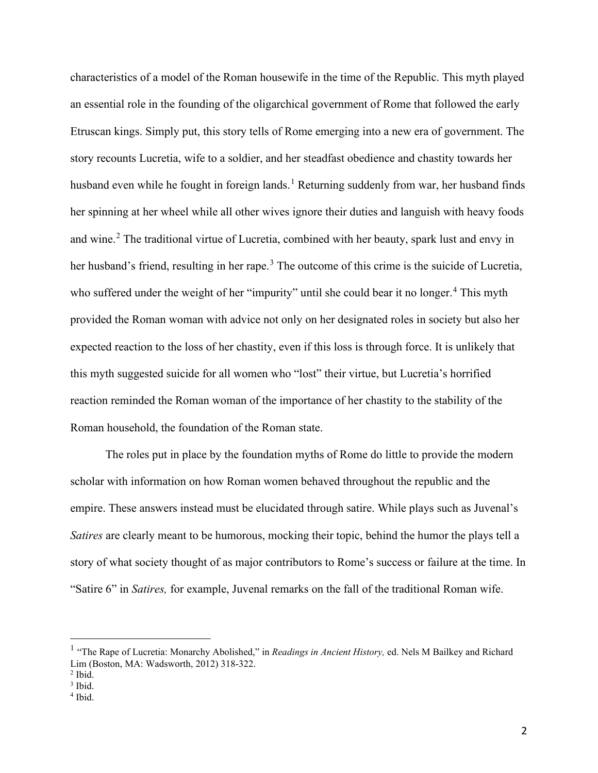characteristics of a model of the Roman housewife in the time of the Republic. This myth played an essential role in the founding of the oligarchical government of Rome that followed the early Etruscan kings. Simply put, this story tells of Rome emerging into a new era of government. The story recounts Lucretia, wife to a soldier, and her steadfast obedience and chastity towards her husband even while he fought in foreign lands.<sup>[1](#page-3-0)</sup> Returning suddenly from war, her husband finds her spinning at her wheel while all other wives ignore their duties and languish with heavy foods and wine.<sup>[2](#page-3-1)</sup> The traditional virtue of Lucretia, combined with her beauty, spark lust and envy in her husband's friend, resulting in her rape.<sup>[3](#page-3-2)</sup> The outcome of this crime is the suicide of Lucretia, who suffered under the weight of her "impurity" until she could bear it no longer.<sup>[4](#page-3-3)</sup> This myth provided the Roman woman with advice not only on her designated roles in society but also her expected reaction to the loss of her chastity, even if this loss is through force. It is unlikely that this myth suggested suicide for all women who "lost" their virtue, but Lucretia's horrified reaction reminded the Roman woman of the importance of her chastity to the stability of the Roman household, the foundation of the Roman state.

The roles put in place by the foundation myths of Rome do little to provide the modern scholar with information on how Roman women behaved throughout the republic and the empire. These answers instead must be elucidated through satire. While plays such as Juvenal's *Satires* are clearly meant to be humorous, mocking their topic, behind the humor the plays tell a story of what society thought of as major contributors to Rome's success or failure at the time. In "Satire 6" in *Satires,* for example, Juvenal remarks on the fall of the traditional Roman wife.

<span id="page-3-0"></span><sup>&</sup>lt;sup>1</sup> "The Rape of Lucretia: Monarchy Abolished," in *Readings in Ancient History*, ed. Nels M Bailkey and Richard Lim (Boston, MA: Wadsworth, 2012) 318-322. 2 Ibid.

<span id="page-3-1"></span>

<span id="page-3-2"></span><sup>&</sup>lt;sup>3</sup> Ibid.

<span id="page-3-3"></span> $4$  Ibid.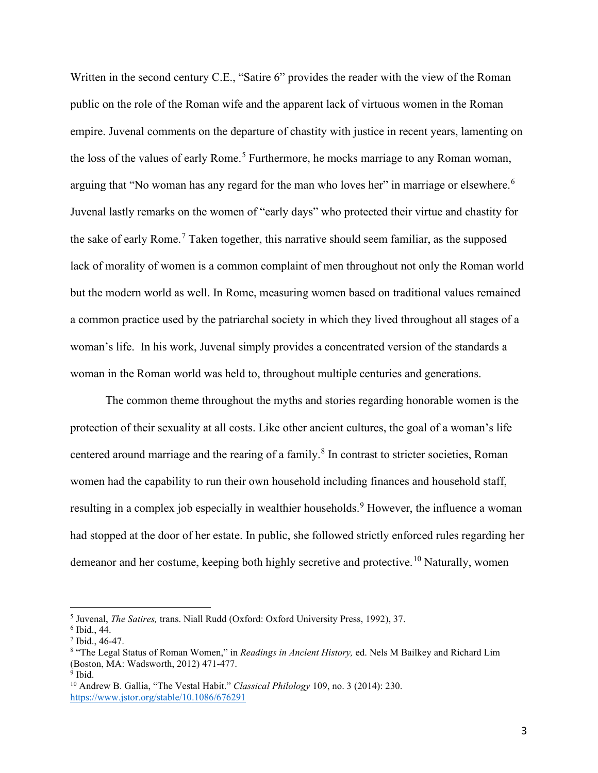Written in the second century C.E., "Satire 6" provides the reader with the view of the Roman public on the role of the Roman wife and the apparent lack of virtuous women in the Roman empire. Juvenal comments on the departure of chastity with justice in recent years, lamenting on the loss of the values of early Rome.<sup>[5](#page-4-0)</sup> Furthermore, he mocks marriage to any Roman woman, arguing that "No woman has any regard for the man who loves her" in marriage or elsewhere.<sup>[6](#page-4-1)</sup> Juvenal lastly remarks on the women of "early days" who protected their virtue and chastity for the sake of early Rome.<sup>[7](#page-4-2)</sup> Taken together, this narrative should seem familiar, as the supposed lack of morality of women is a common complaint of men throughout not only the Roman world but the modern world as well. In Rome, measuring women based on traditional values remained a common practice used by the patriarchal society in which they lived throughout all stages of a woman's life. In his work, Juvenal simply provides a concentrated version of the standards a woman in the Roman world was held to, throughout multiple centuries and generations.

The common theme throughout the myths and stories regarding honorable women is the protection of their sexuality at all costs. Like other ancient cultures, the goal of a woman's life centered around marriage and the rearing of a family.<sup>[8](#page-4-3)</sup> In contrast to stricter societies, Roman women had the capability to run their own household including finances and household staff, resulting in a complex job especially in wealthier households.<sup>[9](#page-4-4)</sup> However, the influence a woman had stopped at the door of her estate. In public, she followed strictly enforced rules regarding her demeanor and her costume, keeping both highly secretive and protective.<sup>10</sup> Naturally, women

<span id="page-4-3"></span><span id="page-4-2"></span>

<span id="page-4-1"></span><span id="page-4-0"></span><sup>&</sup>lt;sup>5</sup> Juvenal, *The Satires*, trans. Niall Rudd (Oxford: Oxford University Press, 1992), 37.<br>
<sup>6</sup> Ibid., 44.<br>
<sup>7</sup> Ibid., 46-47.<br>
<sup>8</sup> "The Legal Status of Roman Women," in *Readings in Ancient History*, ed. Nels M Bailkey an (Boston, MA: Wadsworth, 2012) 471-477.<br>9 Ibid.

<span id="page-4-4"></span>

<span id="page-4-5"></span><sup>10</sup> Andrew B. Gallia, "The Vestal Habit." *Classical Philology* 109, no. 3 (2014): 230. <https://www.jstor.org/stable/10.1086/676291>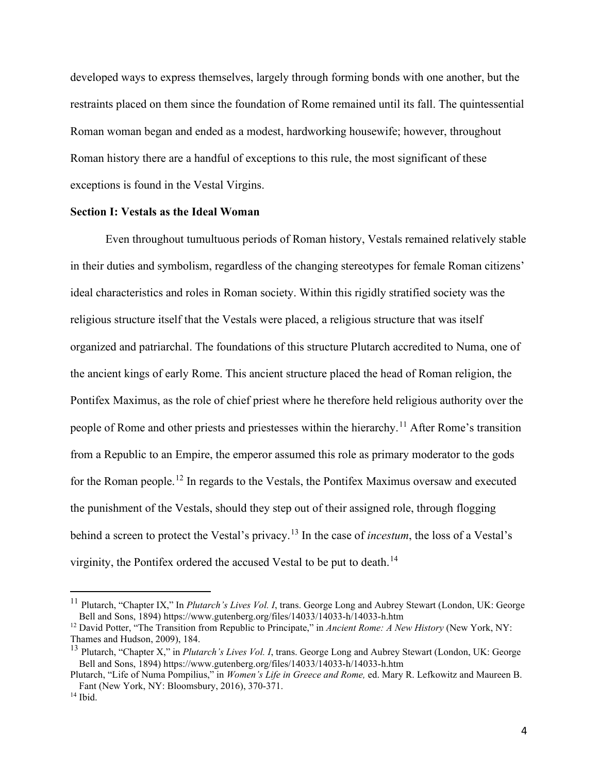developed ways to express themselves, largely through forming bonds with one another, but the restraints placed on them since the foundation of Rome remained until its fall. The quintessential Roman woman began and ended as a modest, hardworking housewife; however, throughout Roman history there are a handful of exceptions to this rule, the most significant of these exceptions is found in the Vestal Virgins.

#### **Section I: Vestals as the Ideal Woman**

Even throughout tumultuous periods of Roman history, Vestals remained relatively stable in their duties and symbolism, regardless of the changing stereotypes for female Roman citizens' ideal characteristics and roles in Roman society. Within this rigidly stratified society was the religious structure itself that the Vestals were placed, a religious structure that was itself organized and patriarchal. The foundations of this structure Plutarch accredited to Numa, one of the ancient kings of early Rome. This ancient structure placed the head of Roman religion, the Pontifex Maximus, as the role of chief priest where he therefore held religious authority over the people of Rome and other priests and priestesses within the hierarchy.<sup>[11](#page-5-0)</sup> After Rome's transition from a Republic to an Empire, the emperor assumed this role as primary moderator to the gods for the Roman people.[12](#page-5-1) In regards to the Vestals, the Pontifex Maximus oversaw and executed the punishment of the Vestals, should they step out of their assigned role, through flogging behind a screen to protect the Vestal's privacy.[13](#page-5-2) In the case of *incestum*, the loss of a Vestal's virginity, the Pontifex ordered the accused Vestal to be put to death.[14](#page-5-3)

<span id="page-5-0"></span><sup>11</sup> Plutarch, "Chapter IX," In *Plutarch's Lives Vol. I*, trans. George Long and Aubrey Stewart (London, UK: George

<span id="page-5-1"></span>Bell and Sons, 1894) https://www.gutenberg.org/files/14033/14033-h/14033-h.htm<br><sup>12</sup> David Potter, "The Transition from Republic to Principate," in *Ancient Rome: A New History* (New York, NY:<br>Thames and Hudson, 2009), 184.

<span id="page-5-2"></span><sup>&</sup>lt;sup>13</sup> Plutarch, "Chapter X," in *Plutarch's Lives Vol. I*, trans. George Long and Aubrey Stewart (London, UK: George Bell and Sons, 1894) https://www.gutenberg.org/files/14033/14033-h/14033-h.htm

Plutarch, "Life of Numa Pompilius," in *Women's Life in Greece and Rome*, ed. Mary R. Lefkowitz and Maureen B. Fant (New York, NY: Bloomsbury, 2016), 370-371.

<span id="page-5-3"></span> $14$  Ibid.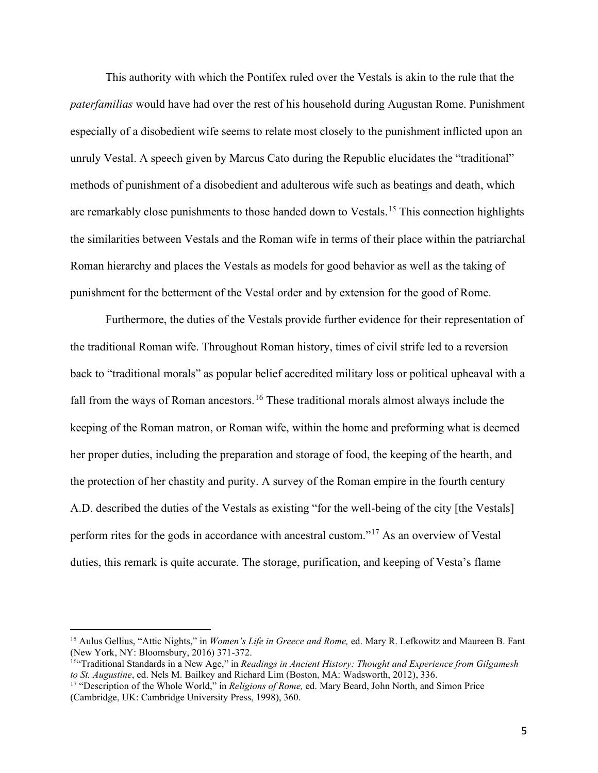This authority with which the Pontifex ruled over the Vestals is akin to the rule that the *paterfamilias* would have had over the rest of his household during Augustan Rome. Punishment especially of a disobedient wife seems to relate most closely to the punishment inflicted upon an unruly Vestal. A speech given by Marcus Cato during the Republic elucidates the "traditional" methods of punishment of a disobedient and adulterous wife such as beatings and death, which are remarkably close punishments to those handed down to Vestals.<sup>[15](#page-6-0)</sup> This connection highlights the similarities between Vestals and the Roman wife in terms of their place within the patriarchal Roman hierarchy and places the Vestals as models for good behavior as well as the taking of punishment for the betterment of the Vestal order and by extension for the good of Rome.

Furthermore, the duties of the Vestals provide further evidence for their representation of the traditional Roman wife. Throughout Roman history, times of civil strife led to a reversion back to "traditional morals" as popular belief accredited military loss or political upheaval with a fall from the ways of Roman ancestors.<sup>[16](#page-6-1)</sup> These traditional morals almost always include the keeping of the Roman matron, or Roman wife, within the home and preforming what is deemed her proper duties, including the preparation and storage of food, the keeping of the hearth, and the protection of her chastity and purity. A survey of the Roman empire in the fourth century A.D. described the duties of the Vestals as existing "for the well-being of the city [the Vestals] perform rites for the gods in accordance with ancestral custom."[17](#page-6-2) As an overview of Vestal duties, this remark is quite accurate. The storage, purification, and keeping of Vesta's flame

<span id="page-6-0"></span><sup>15</sup> Aulus Gellius, "Attic Nights," in *Women's Life in Greece and Rome,* ed. Mary R. Lefkowitz and Maureen B. Fant (New York, NY: Bloomsbury, 2016) 371-372.

<span id="page-6-1"></span><sup>&</sup>lt;sup>16</sup>"Traditional Standards in a New Age," in *Readings in Ancient History: Thought and Experience from Gilgamesh to St. Augustine, ed. Nels M. Bailkey and Richard Lim (Boston, MA: Wadsworth, 2012), 336.* 

<span id="page-6-2"></span><sup>&</sup>lt;sup>17</sup> "Description of the Whole World," in *Religions of Rome*, ed. Mary Beard, John North, and Simon Price (Cambridge, UK: Cambridge University Press, 1998), 360.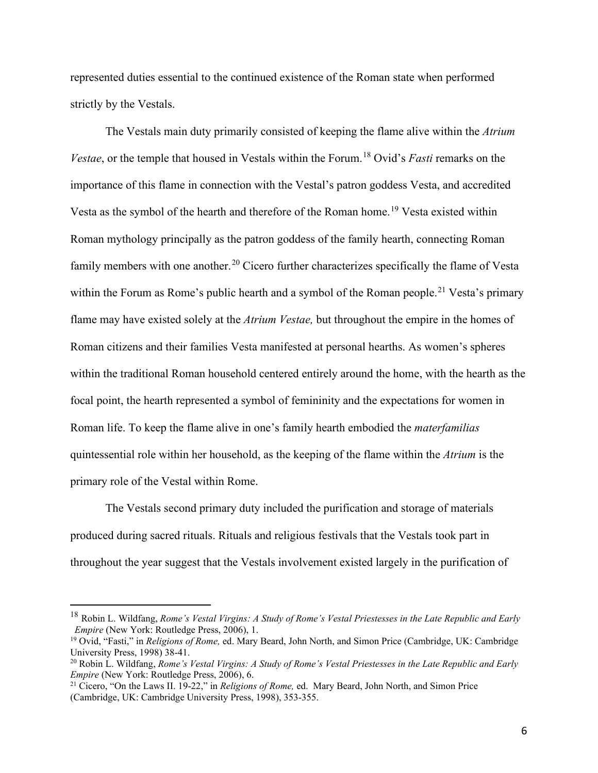represented duties essential to the continued existence of the Roman state when performed strictly by the Vestals.

The Vestals main duty primarily consisted of keeping the flame alive within the *Atrium Vestae*, or the temple that housed in Vestals within the Forum.<sup>[18](#page-7-0)</sup> Ovid's *Fasti* remarks on the importance of this flame in connection with the Vestal's patron goddess Vesta, and accredited Vesta as the symbol of the hearth and therefore of the Roman home.<sup>[19](#page-7-1)</sup> Vesta existed within Roman mythology principally as the patron goddess of the family hearth, connecting Roman family members with one another.<sup>[20](#page-7-2)</sup> Cicero further characterizes specifically the flame of Vesta within the Forum as Rome's public hearth and a symbol of the Roman people.<sup>[21](#page-7-3)</sup> Vesta's primary flame may have existed solely at the *Atrium Vestae,* but throughout the empire in the homes of Roman citizens and their families Vesta manifested at personal hearths. As women's spheres within the traditional Roman household centered entirely around the home, with the hearth as the focal point, the hearth represented a symbol of femininity and the expectations for women in Roman life. To keep the flame alive in one's family hearth embodied the *materfamilias*  quintessential role within her household, as the keeping of the flame within the *Atrium* is the primary role of the Vestal within Rome.

The Vestals second primary duty included the purification and storage of materials produced during sacred rituals. Rituals and religious festivals that the Vestals took part in throughout the year suggest that the Vestals involvement existed largely in the purification of

<span id="page-7-0"></span><sup>18</sup> Robin L. Wildfang, *Rome's Vestal Virgins: A Study of Rome's Vestal Priestesses in the Late Republic and Early Empire* (New York: Routledge Press, 2006), 1.

<span id="page-7-1"></span><sup>19</sup> Ovid, "Fasti," in *Religions of Rome,* ed. Mary Beard, John North, and Simon Price (Cambridge, UK: Cambridge University Press, 1998) 38-41.

<span id="page-7-2"></span><sup>20</sup> Robin L. Wildfang, *Rome's Vestal Virgins: A Study of Rome's Vestal Priestesses in the Late Republic and Early Empire* (New York: Routledge Press, 2006), 6.

<span id="page-7-3"></span><sup>21</sup> Cicero, "On the Laws II. 19-22," in *Religions of Rome,* ed. Mary Beard, John North, and Simon Price (Cambridge, UK: Cambridge University Press, 1998), 353-355.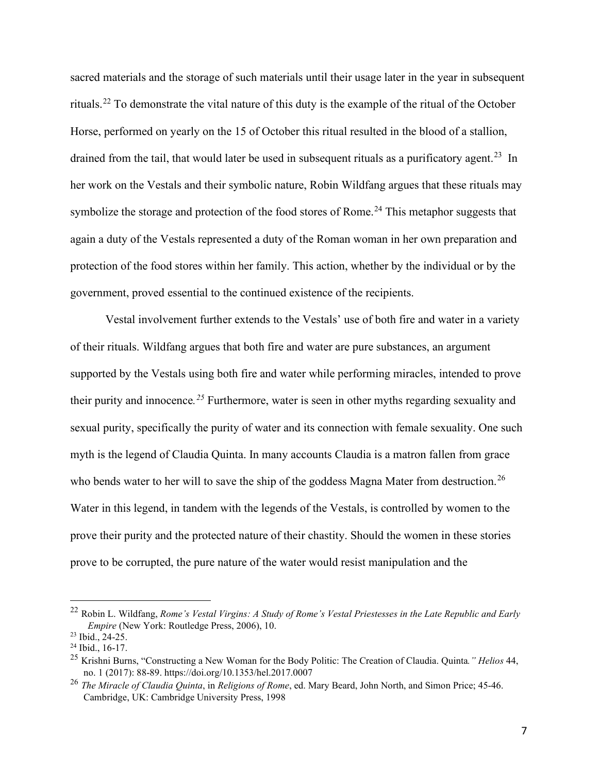sacred materials and the storage of such materials until their usage later in the year in subsequent rituals.[22](#page-8-0) To demonstrate the vital nature of this duty is the example of the ritual of the October Horse, performed on yearly on the 15 of October this ritual resulted in the blood of a stallion, drained from the tail, that would later be used in subsequent rituals as a purificatory agent.<sup>[23](#page-8-1)</sup> In her work on the Vestals and their symbolic nature, Robin Wildfang argues that these rituals may symbolize the storage and protection of the food stores of Rome.<sup>[24](#page-8-2)</sup> This metaphor suggests that again a duty of the Vestals represented a duty of the Roman woman in her own preparation and protection of the food stores within her family. This action, whether by the individual or by the government, proved essential to the continued existence of the recipients.

Vestal involvement further extends to the Vestals' use of both fire and water in a variety of their rituals. Wildfang argues that both fire and water are pure substances, an argument supported by the Vestals using both fire and water while performing miracles, intended to prove their purity and innocence*. [25](#page-8-3)* Furthermore, water is seen in other myths regarding sexuality and sexual purity, specifically the purity of water and its connection with female sexuality. One such myth is the legend of Claudia Quinta. In many accounts Claudia is a matron fallen from grace who bends water to her will to save the ship of the goddess Magna Mater from destruction.<sup>[26](#page-8-4)</sup> Water in this legend, in tandem with the legends of the Vestals, is controlled by women to the prove their purity and the protected nature of their chastity. Should the women in these stories prove to be corrupted, the pure nature of the water would resist manipulation and the

<span id="page-8-0"></span><sup>22</sup> Robin L. Wildfang, *Rome's Vestal Virgins: A Study of Rome's Vestal Priestesses in the Late Republic and Early Empire* (New York: Routledge Press, 2006), 10.<br><sup>23</sup> Ibid., 24-25.

<span id="page-8-1"></span>

<span id="page-8-2"></span><sup>&</sup>lt;sup>24</sup> Ibid., 16-17.

<span id="page-8-3"></span><sup>25</sup> Krishni Burns, "Constructing a New Woman for the Body Politic: The Creation of Claudia. Quinta*." Helios* 44, no. 1 (2017): 88-89.<https://doi.org/10.1353/hel.2017.0007>

<span id="page-8-4"></span><sup>26</sup> *The Miracle of Claudia Quinta*, in *Religions of Rome*, ed. Mary Beard, John North, and Simon Price; 45-46. Cambridge, UK: Cambridge University Press, 1998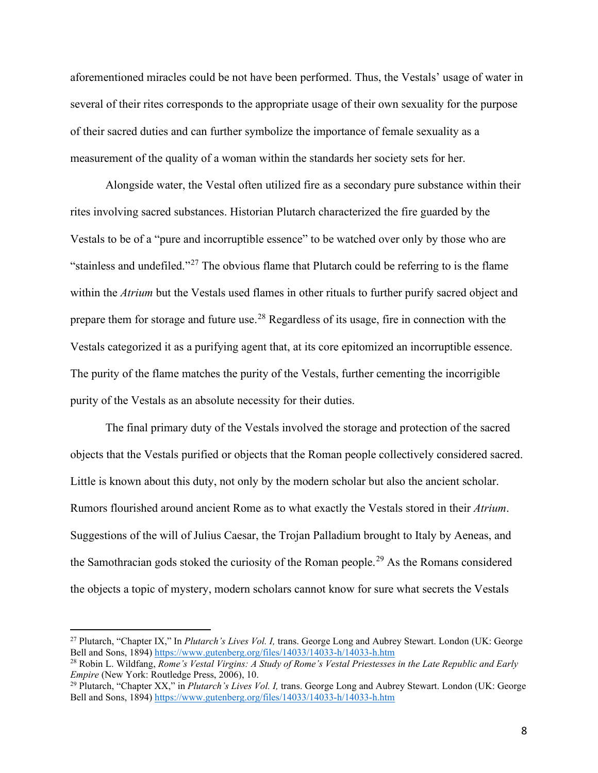aforementioned miracles could be not have been performed. Thus, the Vestals' usage of water in several of their rites corresponds to the appropriate usage of their own sexuality for the purpose of their sacred duties and can further symbolize the importance of female sexuality as a measurement of the quality of a woman within the standards her society sets for her.

 Alongside water, the Vestal often utilized fire as a secondary pure substance within their rites involving sacred substances. Historian Plutarch characterized the fire guarded by the Vestals to be of a "pure and incorruptible essence" to be watched over only by those who are "stainless and undefiled."<sup>27</sup> The obvious flame that Plutarch could be referring to is the flame within the *Atrium* but the Vestals used flames in other rituals to further purify sacred object and prepare them for storage and future use.[28](#page-9-1) Regardless of its usage, fire in connection with the Vestals categorized it as a purifying agent that, at its core epitomized an incorruptible essence. The purity of the flame matches the purity of the Vestals, further cementing the incorrigible purity of the Vestals as an absolute necessity for their duties.

The final primary duty of the Vestals involved the storage and protection of the sacred objects that the Vestals purified or objects that the Roman people collectively considered sacred. Little is known about this duty, not only by the modern scholar but also the ancient scholar. Rumors flourished around ancient Rome as to what exactly the Vestals stored in their *Atrium*. Suggestions of the will of Julius Caesar, the Trojan Palladium brought to Italy by Aeneas, and the Samothracian gods stoked the curiosity of the Roman people.<sup>[29](#page-9-2)</sup> As the Romans considered the objects a topic of mystery, modern scholars cannot know for sure what secrets the Vestals

<span id="page-9-0"></span><sup>27</sup> Plutarch, "Chapter IX," In *Plutarch's Lives Vol. I,* trans. George Long and Aubrey Stewart. London (UK: George

<span id="page-9-1"></span>Bell and Sons, 1894) <u>https://www.gutenberg.org/files/14033/14033-h/14033-h.htm</u><br><sup>28</sup> Robin L. Wildfang, *Rome's Vestal Virgins: A Study of Rome's Vestal Priestesses in the Late Republic and Early <i>Empire* (New York: Routl

<span id="page-9-2"></span><sup>&</sup>lt;sup>29</sup> Plutarch, "Chapter XX," in *Plutarch's Lives Vol. I*, trans. George Long and Aubrey Stewart. London (UK: George Bell and Sons, 1894)<https://www.gutenberg.org/files/14033/14033-h/14033-h.htm>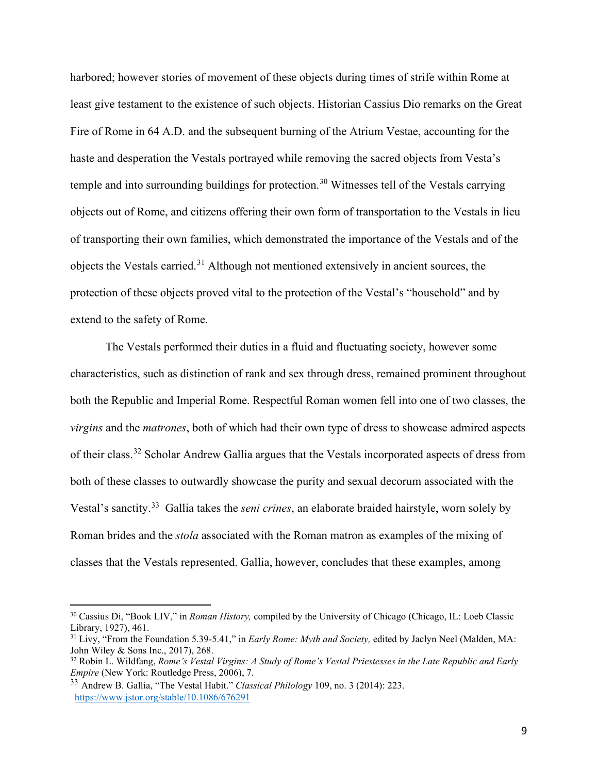harbored; however stories of movement of these objects during times of strife within Rome at least give testament to the existence of such objects. Historian Cassius Dio remarks on the Great Fire of Rome in 64 A.D. and the subsequent burning of the Atrium Vestae, accounting for the haste and desperation the Vestals portrayed while removing the sacred objects from Vesta's temple and into surrounding buildings for protection.<sup>[30](#page-10-0)</sup> Witnesses tell of the Vestals carrying objects out of Rome, and citizens offering their own form of transportation to the Vestals in lieu of transporting their own families, which demonstrated the importance of the Vestals and of the objects the Vestals carried.[31](#page-10-1) Although not mentioned extensively in ancient sources, the protection of these objects proved vital to the protection of the Vestal's "household" and by extend to the safety of Rome.

 The Vestals performed their duties in a fluid and fluctuating society, however some characteristics, such as distinction of rank and sex through dress, remained prominent throughout both the Republic and Imperial Rome. Respectful Roman women fell into one of two classes, the *virgins* and the *matrones*, both of which had their own type of dress to showcase admired aspects of their class.[32](#page-10-2) Scholar Andrew Gallia argues that the Vestals incorporated aspects of dress from both of these classes to outwardly showcase the purity and sexual decorum associated with the Vestal's sanctity. [33](#page-10-3) Gallia takes the *seni crines*, an elaborate braided hairstyle, worn solely by Roman brides and the *stola* associated with the Roman matron as examples of the mixing of classes that the Vestals represented. Gallia, however, concludes that these examples, among

<span id="page-10-0"></span><sup>&</sup>lt;sup>30</sup> Cassius Di, "Book LIV," in *Roman History*, compiled by the University of Chicago (Chicago, IL: Loeb Classic Library, 1927), 461.

<span id="page-10-1"></span><sup>&</sup>lt;sup>31</sup> Livy, "From the Foundation 5.39-5.41," in *Early Rome: Myth and Society*, edited by Jaclyn Neel (Malden, MA: John Wiley & Sons Inc., 2017), 268.

<span id="page-10-2"></span><sup>&</sup>lt;sup>32</sup> Robin L. Wildfang, *Rome's Vestal Virgins: A Study of Rome's Vestal Priestesses in the Late Republic and Early Empire (New York: Routledge Press, 2006), 7.* 

<span id="page-10-3"></span><sup>&</sup>lt;sup>33</sup> Andrew B. Gallia, "The Vestal Habit." *Classical Philology* 109, no. 3 (2014): 223. <https://www.jstor.org/stable/10.1086/676291>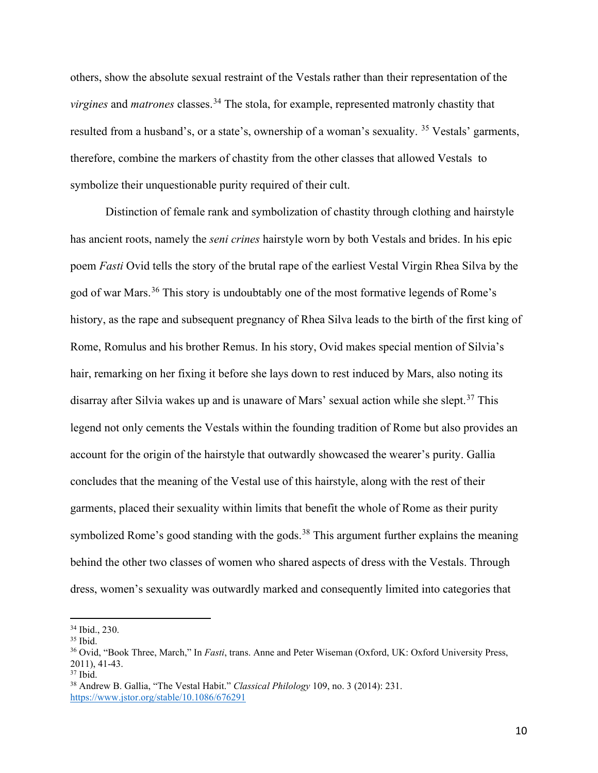others, show the absolute sexual restraint of the Vestals rather than their representation of the *virgines* and *matrones* classes.<sup>34</sup> The stola, for example, represented matronly chastity that resulted from a husband's, or a state's, ownership of a woman's sexuality. <sup>[35](#page-11-1)</sup> Vestals' garments, therefore, combine the markers of chastity from the other classes that allowed Vestals to symbolize their unquestionable purity required of their cult.

 Distinction of female rank and symbolization of chastity through clothing and hairstyle has ancient roots, namely the *seni crines* hairstyle worn by both Vestals and brides. In his epic poem *Fasti* Ovid tells the story of the brutal rape of the earliest Vestal Virgin Rhea Silva by the god of war Mars.<sup>[36](#page-11-2)</sup> This story is undoubtably one of the most formative legends of Rome's history, as the rape and subsequent pregnancy of Rhea Silva leads to the birth of the first king of Rome, Romulus and his brother Remus. In his story, Ovid makes special mention of Silvia's hair, remarking on her fixing it before she lays down to rest induced by Mars, also noting its disarray after Silvia wakes up and is unaware of Mars' sexual action while she slept.<sup>[37](#page-11-3)</sup> This legend not only cements the Vestals within the founding tradition of Rome but also provides an account for the origin of the hairstyle that outwardly showcased the wearer's purity. Gallia concludes that the meaning of the Vestal use of this hairstyle, along with the rest of their garments, placed their sexuality within limits that benefit the whole of Rome as their purity symbolized Rome's good standing with the gods.<sup>38</sup> This argument further explains the meaning behind the other two classes of women who shared aspects of dress with the Vestals. Through dress, women's sexuality was outwardly marked and consequently limited into categories that

<span id="page-11-2"></span>

<span id="page-11-1"></span><span id="page-11-0"></span><sup>&</sup>lt;sup>34</sup> Ibid., 230.<br><sup>35</sup> Ibid.<br><sup>36</sup> Ovid, "Book Three, March," In *Fasti*, trans. Anne and Peter Wiseman (Oxford, UK: Oxford University Press, 2011), 41-43.<br><sup>37</sup> Ibid.<br><sup>38</sup> Andrew B. Gallia, "The Vestal Habit." *Classical Philology* 109, no. 3 (2014): 231.

<span id="page-11-3"></span>

<span id="page-11-4"></span><https://www.jstor.org/stable/10.1086/676291>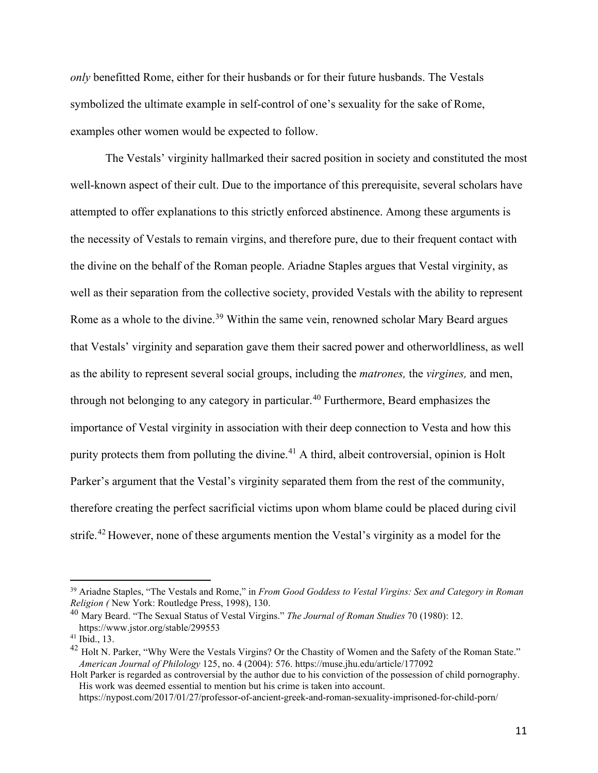*only* benefitted Rome, either for their husbands or for their future husbands. The Vestals symbolized the ultimate example in self-control of one's sexuality for the sake of Rome, examples other women would be expected to follow.

The Vestals' virginity hallmarked their sacred position in society and constituted the most well-known aspect of their cult. Due to the importance of this prerequisite, several scholars have attempted to offer explanations to this strictly enforced abstinence. Among these arguments is the necessity of Vestals to remain virgins, and therefore pure, due to their frequent contact with the divine on the behalf of the Roman people. Ariadne Staples argues that Vestal virginity, as well as their separation from the collective society, provided Vestals with the ability to represent Rome as a whole to the divine.<sup>[39](#page-12-0)</sup> Within the same vein, renowned scholar Mary Beard argues that Vestals' virginity and separation gave them their sacred power and otherworldliness, as well as the ability to represent several social groups, including the *matrones,* the *virgines,* and men, through not belonging to any category in particular.<sup>[40](#page-12-1)</sup> Furthermore, Beard emphasizes the importance of Vestal virginity in association with their deep connection to Vesta and how this purity protects them from polluting the divine.<sup>[41](#page-12-2)</sup> A third, albeit controversial, opinion is Holt Parker's argument that the Vestal's virginity separated them from the rest of the community, therefore creating the perfect sacrificial victims upon whom blame could be placed during civil strife.<sup>[42](#page-12-3)</sup> However, none of these arguments mention the Vestal's virginity as a model for the

<span id="page-12-0"></span><sup>&</sup>lt;sup>39</sup> Ariadne Staples, "The Vestals and Rome," in *From Good Goddess to Vestal Virgins: Sex and Category in Roman Religion (New York: Routledge Press, 1998), 130.* 

<span id="page-12-1"></span><sup>&</sup>lt;sup>40</sup> Mary Beard. "The Sexual Status of Vestal Virgins." *The Journal of Roman Studies* 70 (1980): 12. <https://www.jstor.org/stable/299553>

<span id="page-12-2"></span><sup>41</sup> Ibid., 13.

<span id="page-12-3"></span><sup>&</sup>lt;sup>42</sup> Holt N. Parker, "Why Were the Vestals Virgins? Or the Chastity of Women and the Safety of the Roman State." *American Journal of Philology* 125, no. 4 (2004): 576.<https://muse.jhu.edu/article/177092>

Holt Parker is regarded as controversial by the author due to his conviction of the possession of child pornography. His work was deemed essential to mention but his crime is taken into account.

https://nypost.com/2017/01/27/professor-of-ancient-greek-and-roman-sexuality-imprisoned-for-child-porn/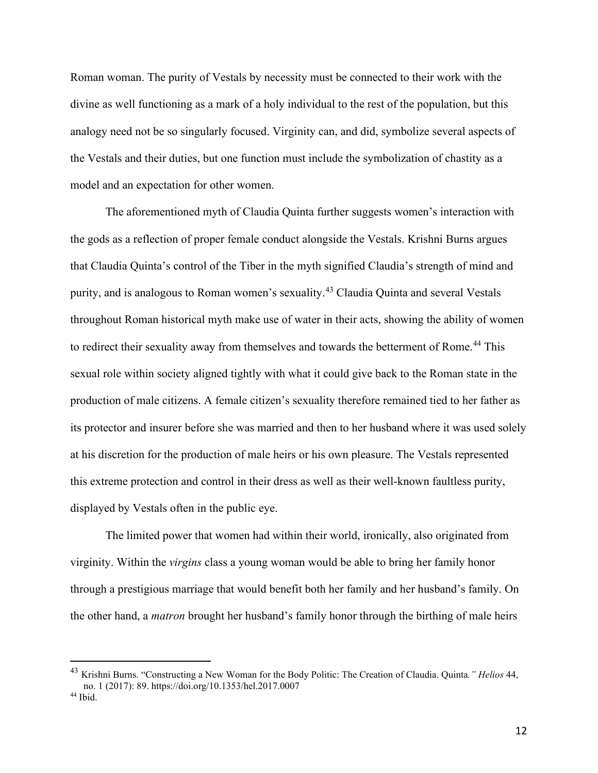Roman woman. The purity of Vestals by necessity must be connected to their work with the divine as well functioning as a mark of a holy individual to the rest of the population, but this analogy need not be so singularly focused. Virginity can, and did, symbolize several aspects of the Vestals and their duties, but one function must include the symbolization of chastity as a model and an expectation for other women.

The aforementioned myth of Claudia Quinta further suggests women's interaction with the gods as a reflection of proper female conduct alongside the Vestals. Krishni Burns argues that Claudia Quinta's control of the Tiber in the myth signified Claudia's strength of mind and purity, and is analogous to Roman women's sexuality. [43](#page-13-0) Claudia Quinta and several Vestals throughout Roman historical myth make use of water in their acts, showing the ability of women to redirect their sexuality away from themselves and towards the betterment of Rome.<sup>[44](#page-13-1)</sup> This sexual role within society aligned tightly with what it could give back to the Roman state in the production of male citizens. A female citizen's sexuality therefore remained tied to her father as its protector and insurer before she was married and then to her husband where it was used solely at his discretion for the production of male heirs or his own pleasure. The Vestals represented this extreme protection and control in their dress as well as their well-known faultless purity, displayed by Vestals often in the public eye.

The limited power that women had within their world, ironically, also originated from virginity. Within the *virgins* class a young woman would be able to bring her family honor through a prestigious marriage that would benefit both her family and her husband's family. On the other hand, a *matron* brought her husband's family honor through the birthing of male heirs

<span id="page-13-0"></span><sup>43</sup> Krishni Burns. "Constructing a New Woman for the Body Politic: The Creation of Claudia. Quinta*." Helios* 44, no. 1 (2017): 89.<https://doi.org/10.1353/hel.2017.0007>

<span id="page-13-1"></span><sup>44</sup> Ibid.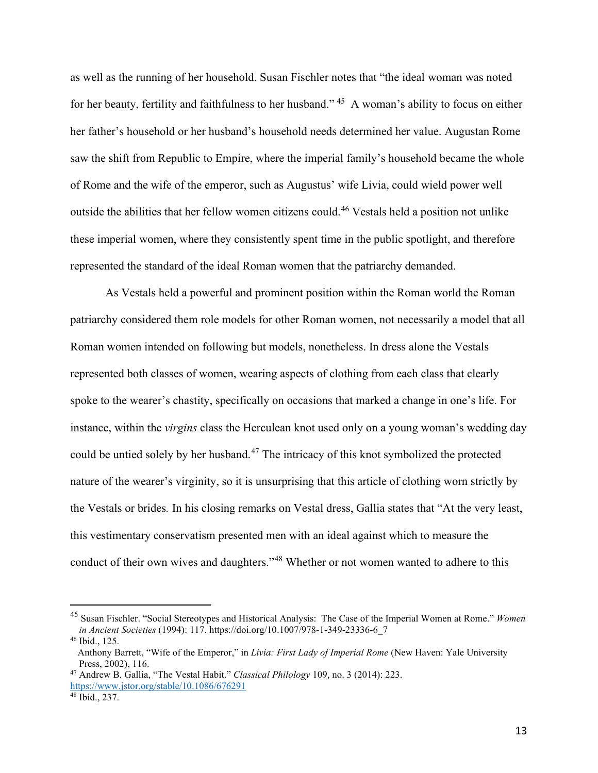as well as the running of her household. Susan Fischler notes that "the ideal woman was noted for her beauty, fertility and faithfulness to her husband." [45](#page-14-0) A woman's ability to focus on either her father's household or her husband's household needs determined her value. Augustan Rome saw the shift from Republic to Empire, where the imperial family's household became the whole of Rome and the wife of the emperor, such as Augustus' wife Livia, could wield power well outside the abilities that her fellow women citizens could.[46](#page-14-1) Vestals held a position not unlike these imperial women, where they consistently spent time in the public spotlight, and therefore represented the standard of the ideal Roman women that the patriarchy demanded.

 As Vestals held a powerful and prominent position within the Roman world the Roman patriarchy considered them role models for other Roman women, not necessarily a model that all Roman women intended on following but models, nonetheless. In dress alone the Vestals represented both classes of women, wearing aspects of clothing from each class that clearly spoke to the wearer's chastity, specifically on occasions that marked a change in one's life. For instance, within the *virgins* class the Herculean knot used only on a young woman's wedding day could be untied solely by her husband.<sup>47</sup> The intricacy of this knot symbolized the protected nature of the wearer's virginity, so it is unsurprising that this article of clothing worn strictly by the Vestals or brides*.* In his closing remarks on Vestal dress, Gallia states that "At the very least, this vestimentary conservatism presented men with an ideal against which to measure the conduct of their own wives and daughters."<sup>48</sup> Whether or not women wanted to adhere to this

<span id="page-14-0"></span><sup>45</sup> Susan Fischler. "Social Stereotypes and Historical Analysis: The Case of the Imperial Women at Rome." *Women in Ancient Societies* (1994): 117. [https://doi.org/10.1007/978-1-349-23336-6\\_7](https://doi.org/10.1007/978-1-349-23336-6_7)

<span id="page-14-1"></span><sup>46</sup> Ibid., 125.

Anthony Barrett, "Wife of the Emperor," in *Livia: First Lady of Imperial Rome* (New Haven: Yale University Press, 2002), 116. 47 Andrew B. Gallia, "The Vestal Habit." *Classical Philology* 109, no. 3 (2014): 223.

<span id="page-14-2"></span><https://www.jstor.org/stable/10.1086/676291>

<span id="page-14-3"></span><sup>48</sup> Ibid., 237.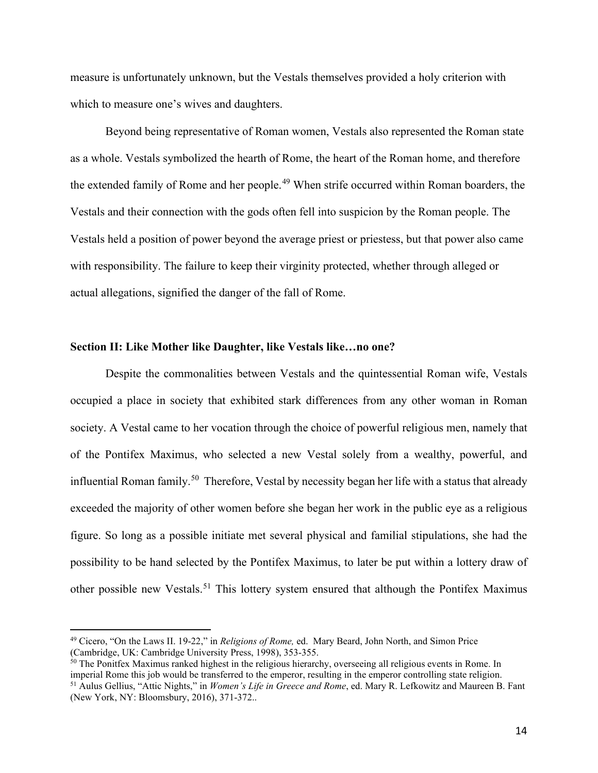measure is unfortunately unknown, but the Vestals themselves provided a holy criterion with which to measure one's wives and daughters.

Beyond being representative of Roman women, Vestals also represented the Roman state as a whole. Vestals symbolized the hearth of Rome, the heart of the Roman home, and therefore the extended family of Rome and her people.<sup>[49](#page-15-0)</sup> When strife occurred within Roman boarders, the Vestals and their connection with the gods often fell into suspicion by the Roman people. The Vestals held a position of power beyond the average priest or priestess, but that power also came with responsibility. The failure to keep their virginity protected, whether through alleged or actual allegations, signified the danger of the fall of Rome.

#### **Section II: Like Mother like Daughter, like Vestals like…no one?**

Despite the commonalities between Vestals and the quintessential Roman wife, Vestals occupied a place in society that exhibited stark differences from any other woman in Roman society. A Vestal came to her vocation through the choice of powerful religious men, namely that of the Pontifex Maximus, who selected a new Vestal solely from a wealthy, powerful, and influential Roman family.<sup>[50](#page-15-1)</sup> Therefore, Vestal by necessity began her life with a status that already exceeded the majority of other women before she began her work in the public eye as a religious figure. So long as a possible initiate met several physical and familial stipulations, she had the possibility to be hand selected by the Pontifex Maximus, to later be put within a lottery draw of other possible new Vestals.<sup>[51](#page-15-2)</sup> This lottery system ensured that although the Pontifex Maximus

<span id="page-15-2"></span><span id="page-15-1"></span> $50$  The Ponitfex Maximus ranked highest in the religious hierarchy, overseeing all religious events in Rome. In imperial Rome this job would be transferred to the emperor, resulting in the emperor controlling state relig <sup>51</sup> Aulus Gellius, "Attic Nights," in *Women's Life in Greece and Rome*, ed. Mary R. Lefkowitz and Maureen B. Fant (New York, NY: Bloomsbury, 2016), 371-372..

<span id="page-15-0"></span><sup>49</sup> Cicero, "On the Laws II. 19-22," in *Religions of Rome,* ed. Mary Beard, John North, and Simon Price (Cambridge, UK: Cambridge University Press, 1998), 353-355.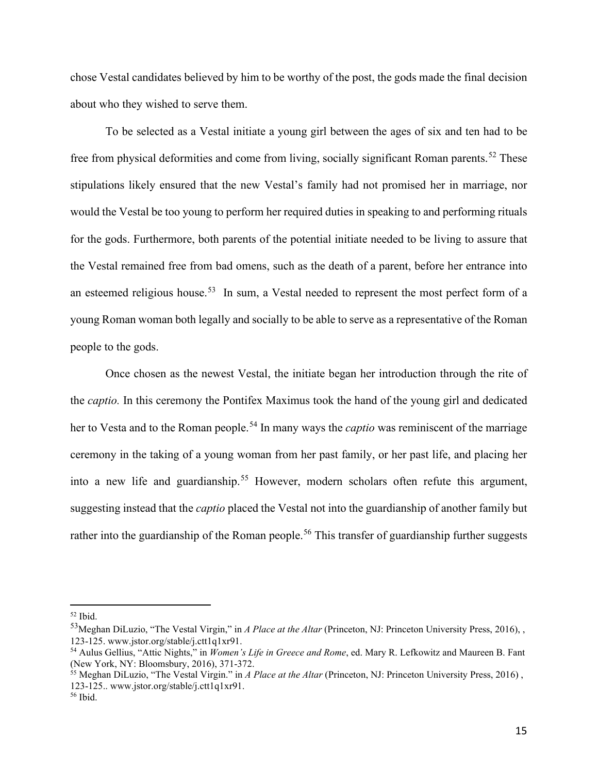chose Vestal candidates believed by him to be worthy of the post, the gods made the final decision about who they wished to serve them.

To be selected as a Vestal initiate a young girl between the ages of six and ten had to be free from physical deformities and come from living, socially significant Roman parents.<sup>[52](#page-16-0)</sup> These stipulations likely ensured that the new Vestal's family had not promised her in marriage, nor would the Vestal be too young to perform her required duties in speaking to and performing rituals for the gods. Furthermore, both parents of the potential initiate needed to be living to assure that the Vestal remained free from bad omens, such as the death of a parent, before her entrance into an esteemed religious house.<sup>[53](#page-16-1)</sup> In sum, a Vestal needed to represent the most perfect form of a young Roman woman both legally and socially to be able to serve as a representative of the Roman people to the gods.

Once chosen as the newest Vestal, the initiate began her introduction through the rite of the *captio.* In this ceremony the Pontifex Maximus took the hand of the young girl and dedicated her to Vesta and to the Roman people.<sup>[54](#page-16-2)</sup> In many ways the *captio* was reminiscent of the marriage ceremony in the taking of a young woman from her past family, or her past life, and placing her into a new life and guardianship.<sup>[55](#page-16-3)</sup> However, modern scholars often refute this argument, suggesting instead that the *captio* placed the Vestal not into the guardianship of another family but rather into the guardianship of the Roman people.<sup>[56](#page-16-4)</sup> This transfer of guardianship further suggests

<span id="page-16-0"></span> $52$  Ibid.

<span id="page-16-1"></span><sup>53</sup>Meghan DiLuzio, "The Vestal Virgin," in *A Place at the Altar* (Princeton, NJ: Princeton University Press, 2016), , 123-125. [www.jstor.org/stable/j.ctt1q1xr91.](http://www.jstor.org/stable/j.ctt1q1xr91)

<span id="page-16-2"></span><sup>54</sup> Aulus Gellius, "Attic Nights," in *Women's Life in Greece and Rome*, ed. Mary R. Lefkowitz and Maureen B. Fant (New York, NY: Bloomsbury, 2016), 371-372.

<span id="page-16-3"></span><sup>55</sup> Meghan DiLuzio, "The Vestal Virgin." in *A Place at the Altar* (Princeton, NJ: Princeton University Press, 2016) , 123-125.. [www.jstor.org/stable/j.ctt1q1xr91.](http://www.jstor.org/stable/j.ctt1q1xr91)

<span id="page-16-4"></span><sup>56</sup> Ibid.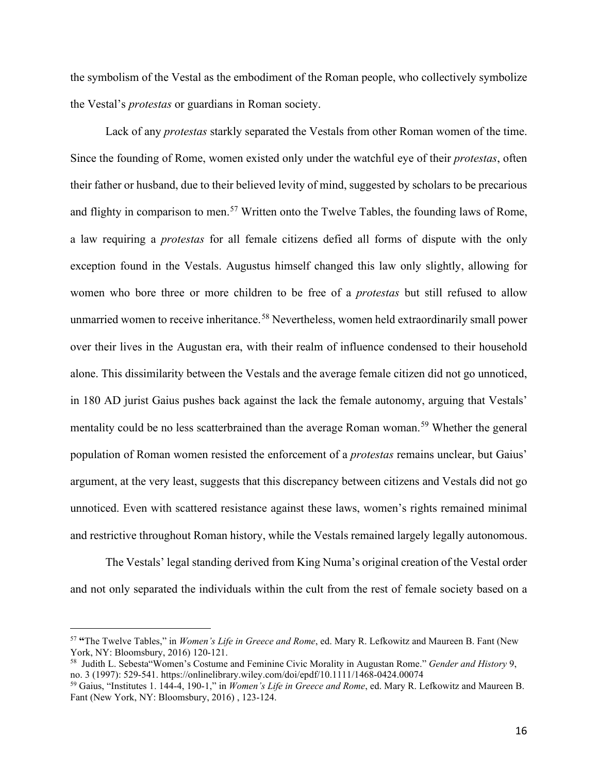the symbolism of the Vestal as the embodiment of the Roman people, who collectively symbolize the Vestal's *protestas* or guardians in Roman society.

Lack of any *protestas* starkly separated the Vestals from other Roman women of the time. Since the founding of Rome, women existed only under the watchful eye of their *protestas*, often their father or husband, due to their believed levity of mind, suggested by scholars to be precarious and flighty in comparison to men.<sup>[57](#page-17-0)</sup> Written onto the Twelve Tables, the founding laws of Rome, a law requiring a *protestas* for all female citizens defied all forms of dispute with the only exception found in the Vestals. Augustus himself changed this law only slightly, allowing for women who bore three or more children to be free of a *protestas* but still refused to allow unmarried women to receive inheritance.<sup>[58](#page-17-1)</sup> Nevertheless, women held extraordinarily small power over their lives in the Augustan era, with their realm of influence condensed to their household alone. This dissimilarity between the Vestals and the average female citizen did not go unnoticed, in 180 AD jurist Gaius pushes back against the lack the female autonomy, arguing that Vestals' mentality could be no less scatterbrained than the average Roman woman.<sup>[59](#page-17-2)</sup> Whether the general population of Roman women resisted the enforcement of a *protestas* remains unclear, but Gaius' argument, at the very least, suggests that this discrepancy between citizens and Vestals did not go unnoticed. Even with scattered resistance against these laws, women's rights remained minimal and restrictive throughout Roman history, while the Vestals remained largely legally autonomous.

The Vestals' legal standing derived from King Numa's original creation of the Vestal order and not only separated the individuals within the cult from the rest of female society based on a

<span id="page-17-0"></span><sup>57</sup> **"**The Twelve Tables," in *Women's Life in Greece and Rome*, ed. Mary R. Lefkowitz and Maureen B. Fant (New York, NY: Bloomsbury, 2016) 120-121.

<span id="page-17-1"></span><sup>58</sup> Judith L. Sebesta"Women's Costume and Feminine Civic Morality in Augustan Rome." *Gender and History* 9, no. 3 (1997): 529-541.<https://onlinelibrary.wiley.com/doi/epdf/10.1111/1468-0424.00074>

<span id="page-17-2"></span><sup>59</sup> Gaius, "Institutes 1. 144-4, 190-1," in *Women's Life in Greece and Rome*, ed. Mary R. Lefkowitz and Maureen B. Fant (New York, NY: Bloomsbury, 2016) , 123-124.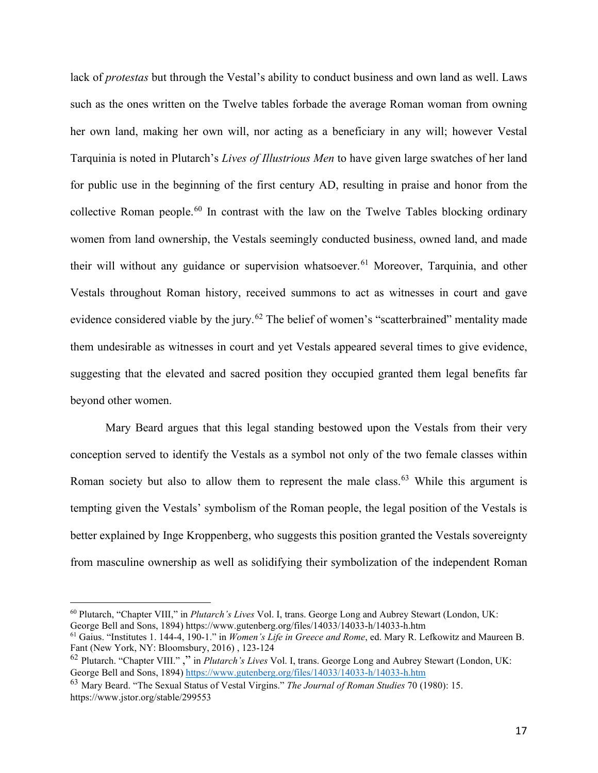lack of *protestas* but through the Vestal's ability to conduct business and own land as well. Laws such as the ones written on the Twelve tables forbade the average Roman woman from owning her own land, making her own will, nor acting as a beneficiary in any will; however Vestal Tarquinia is noted in Plutarch's *Lives of Illustrious Men* to have given large swatches of her land for public use in the beginning of the first century AD, resulting in praise and honor from the collective Roman people.[60](#page-18-0) In contrast with the law on the Twelve Tables blocking ordinary women from land ownership, the Vestals seemingly conducted business, owned land, and made their will without any guidance or supervision whatsoever.<sup>[61](#page-18-1)</sup> Moreover, Tarquinia, and other Vestals throughout Roman history, received summons to act as witnesses in court and gave evidence considered viable by the jury.<sup>[62](#page-18-2)</sup> The belief of women's "scatterbrained" mentality made them undesirable as witnesses in court and yet Vestals appeared several times to give evidence, suggesting that the elevated and sacred position they occupied granted them legal benefits far beyond other women.

Mary Beard argues that this legal standing bestowed upon the Vestals from their very conception served to identify the Vestals as a symbol not only of the two female classes within Roman society but also to allow them to represent the male class.<sup>[63](#page-18-3)</sup> While this argument is tempting given the Vestals' symbolism of the Roman people, the legal position of the Vestals is better explained by Inge Kroppenberg, who suggests this position granted the Vestals sovereignty from masculine ownership as well as solidifying their symbolization of the independent Roman

<span id="page-18-0"></span><sup>60</sup> Plutarch, "Chapter VIII," in *Plutarch's Lives* Vol. I, trans. George Long and Aubrey Stewart (London, UK:

<span id="page-18-1"></span><sup>&</sup>lt;sup>61</sup> Gaius. "Institutes 1. 144-4, 190-1." in *Women's Life in Greece and Rome*, ed. Mary R. Lefkowitz and Maureen B. Fant (New York, NY: Bloomsbury, 2016) , 123-124

<span id="page-18-2"></span><sup>&</sup>lt;sup>62</sup> Plutarch. "Chapter VIII."," in *Plutarch's Lives* Vol. I, trans. George Long and Aubrey Stewart (London, UK: George Bell and Sons, 1894) https://www.gutenberg.org/files/14033/14033-h/14033-h.htm

<span id="page-18-3"></span><sup>&</sup>lt;sup>63</sup> Mary Beard. "The Sexual Status of Vestal Virgins." *The Journal of Roman Studies* 70 (1980): 15. <https://www.jstor.org/stable/299553>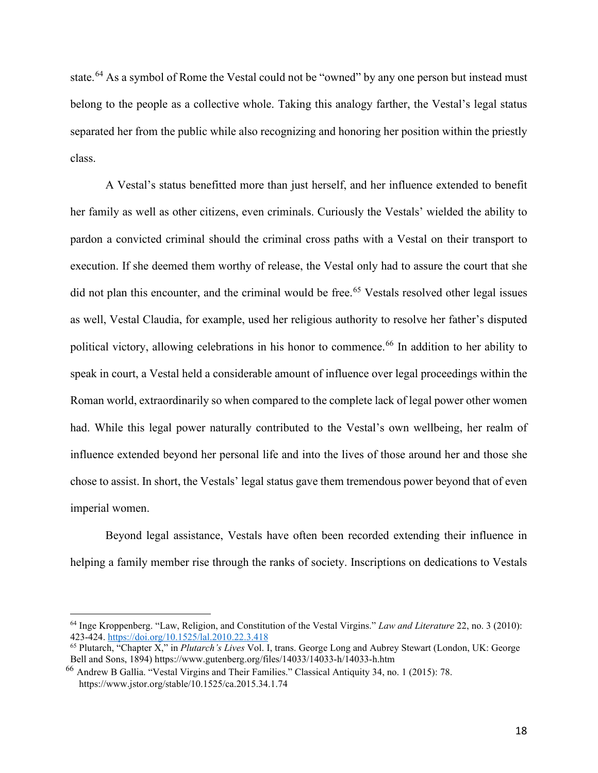state.<sup>[64](#page-19-0)</sup> As a symbol of Rome the Vestal could not be "owned" by any one person but instead must belong to the people as a collective whole. Taking this analogy farther, the Vestal's legal status separated her from the public while also recognizing and honoring her position within the priestly class.

A Vestal's status benefitted more than just herself, and her influence extended to benefit her family as well as other citizens, even criminals. Curiously the Vestals' wielded the ability to pardon a convicted criminal should the criminal cross paths with a Vestal on their transport to execution. If she deemed them worthy of release, the Vestal only had to assure the court that she did not plan this encounter, and the criminal would be free.<sup>[65](#page-19-1)</sup> Vestals resolved other legal issues as well, Vestal Claudia, for example, used her religious authority to resolve her father's disputed political victory, allowing celebrations in his honor to commence.<sup>[66](#page-19-2)</sup> In addition to her ability to speak in court, a Vestal held a considerable amount of influence over legal proceedings within the Roman world, extraordinarily so when compared to the complete lack of legal power other women had. While this legal power naturally contributed to the Vestal's own wellbeing, her realm of influence extended beyond her personal life and into the lives of those around her and those she chose to assist. In short, the Vestals' legal status gave them tremendous power beyond that of even imperial women.

Beyond legal assistance, Vestals have often been recorded extending their influence in helping a family member rise through the ranks of society. Inscriptions on dedications to Vestals

<span id="page-19-0"></span><sup>64</sup> Inge Kroppenberg. "Law, Religion, and Constitution of the Vestal Virgins." *Law and Literature* 22, no. 3 (2010): 423-424.<https://doi.org/10.1525/lal.2010.22.3.418>

<span id="page-19-1"></span><sup>&</sup>lt;sup>65</sup> Plutarch, "Chapter X," in *Plutarch's Lives* Vol. I, trans. George Long and Aubrey Stewart (London, UK: George Bell and Sons, 1894) https://www.gutenberg.org/files/14033/14033-h/14033-h.htm

<span id="page-19-2"></span> $^{66}$  Andrew B Gallia. "Vestal Virgins and Their Families." Classical Antiquity 34, no. 1 (2015): 78. <https://www.jstor.org/stable/10.1525/ca.2015.34.1.74>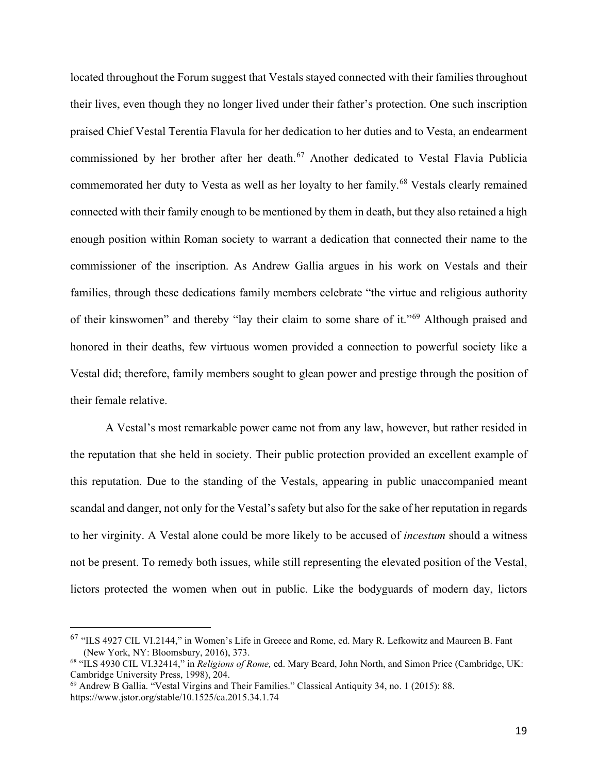located throughout the Forum suggest that Vestals stayed connected with their families throughout their lives, even though they no longer lived under their father's protection. One such inscription praised Chief Vestal Terentia Flavula for her dedication to her duties and to Vesta, an endearment commissioned by her brother after her death.<sup>[67](#page-20-0)</sup> Another dedicated to Vestal Flavia Publicia commemorated her duty to Vesta as well as her loyalty to her family.<sup>[68](#page-20-1)</sup> Vestals clearly remained connected with their family enough to be mentioned by them in death, but they also retained a high enough position within Roman society to warrant a dedication that connected their name to the commissioner of the inscription. As Andrew Gallia argues in his work on Vestals and their families, through these dedications family members celebrate "the virtue and religious authority of their kinswomen" and thereby "lay their claim to some share of it."[69](#page-20-2) Although praised and honored in their deaths, few virtuous women provided a connection to powerful society like a Vestal did; therefore, family members sought to glean power and prestige through the position of their female relative.

A Vestal's most remarkable power came not from any law, however, but rather resided in the reputation that she held in society. Their public protection provided an excellent example of this reputation. Due to the standing of the Vestals, appearing in public unaccompanied meant scandal and danger, not only for the Vestal's safety but also for the sake of her reputation in regards to her virginity. A Vestal alone could be more likely to be accused of *incestum* should a witness not be present. To remedy both issues, while still representing the elevated position of the Vestal, lictors protected the women when out in public. Like the bodyguards of modern day, lictors

<span id="page-20-0"></span><sup>67</sup> "ILS 4927 CIL VI.2144," in Women's Life in Greece and Rome, ed. Mary R. Lefkowitz and Maureen B. Fant (New York, NY: Bloomsbury, 2016), 373.

<span id="page-20-1"></span><sup>68</sup> "ILS 4930 CIL VI.32414," in *Religions of Rome,* ed. Mary Beard, John North, and Simon Price (Cambridge, UK: Cambridge University Press, 1998), 204.

<span id="page-20-2"></span><sup>69</sup> Andrew B Gallia. "Vestal Virgins and Their Families." Classical Antiquity 34, no. 1 (2015): 88. <https://www.jstor.org/stable/10.1525/ca.2015.34.1.74>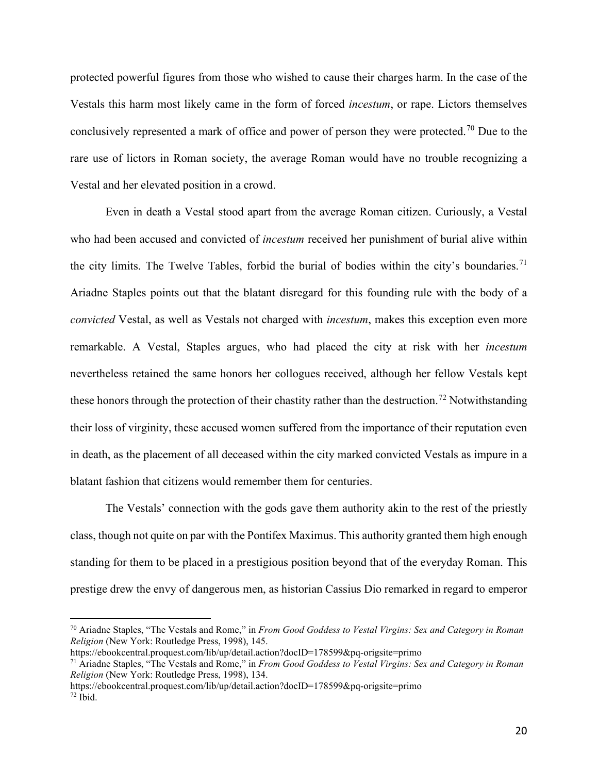protected powerful figures from those who wished to cause their charges harm. In the case of the Vestals this harm most likely came in the form of forced *incestum*, or rape. Lictors themselves conclusively represented a mark of office and power of person they were protected.<sup>[70](#page-21-0)</sup> Due to the rare use of lictors in Roman society, the average Roman would have no trouble recognizing a Vestal and her elevated position in a crowd.

Even in death a Vestal stood apart from the average Roman citizen. Curiously, a Vestal who had been accused and convicted of *incestum* received her punishment of burial alive within the city limits. The Twelve Tables, forbid the burial of bodies within the city's boundaries.<sup>[71](#page-21-1)</sup> Ariadne Staples points out that the blatant disregard for this founding rule with the body of a *convicted* Vestal, as well as Vestals not charged with *incestum*, makes this exception even more remarkable. A Vestal, Staples argues, who had placed the city at risk with her *incestum*  nevertheless retained the same honors her collogues received, although her fellow Vestals kept these honors through the protection of their chastity rather than the destruction.<sup>[72](#page-21-2)</sup> Notwithstanding their loss of virginity, these accused women suffered from the importance of their reputation even in death, as the placement of all deceased within the city marked convicted Vestals as impure in a blatant fashion that citizens would remember them for centuries.

The Vestals' connection with the gods gave them authority akin to the rest of the priestly class, though not quite on par with the Pontifex Maximus. This authority granted them high enough standing for them to be placed in a prestigious position beyond that of the everyday Roman. This prestige drew the envy of dangerous men, as historian Cassius Dio remarked in regard to emperor

<https://ebookcentral.proquest.com/lib/up/detail.action?docID=178599&pq-origsite=primo>

<span id="page-21-0"></span><sup>70</sup> Ariadne Staples, "The Vestals and Rome," in *From Good Goddess to Vestal Virgins: Sex and Category in Roman Religion* (New York: Routledge Press, 1998), 145.

<span id="page-21-1"></span><sup>71</sup> Ariadne Staples, "The Vestals and Rome," in *From Good Goddess to Vestal Virgins: Sex and Category in Roman Religion* (New York: Routledge Press, 1998), 134.

<span id="page-21-2"></span><https://ebookcentral.proquest.com/lib/up/detail.action?docID=178599&pq-origsite=primo>  $72$  Ibid.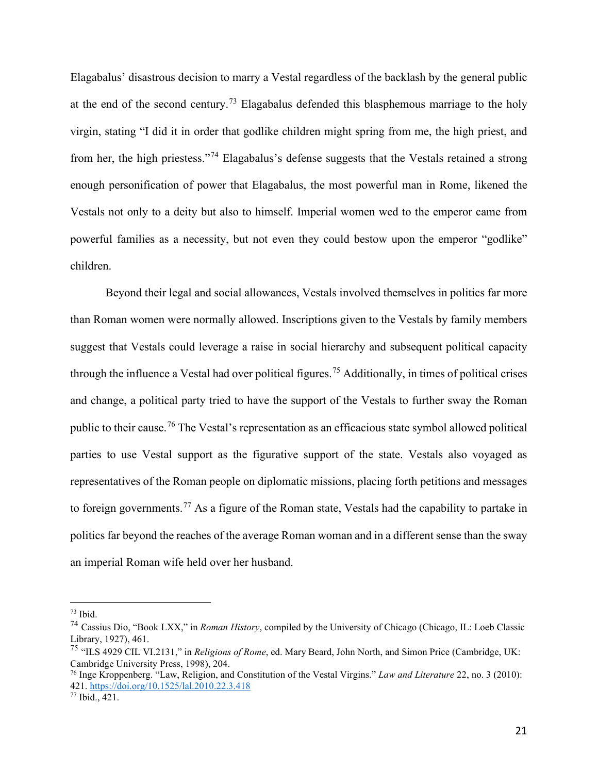Elagabalus' disastrous decision to marry a Vestal regardless of the backlash by the general public at the end of the second century.<sup>[73](#page-22-0)</sup> Elagabalus defended this blasphemous marriage to the holy virgin, stating "I did it in order that godlike children might spring from me, the high priest, and from her, the high priestess."[74](#page-22-1) Elagabalus's defense suggests that the Vestals retained a strong enough personification of power that Elagabalus, the most powerful man in Rome, likened the Vestals not only to a deity but also to himself. Imperial women wed to the emperor came from powerful families as a necessity, but not even they could bestow upon the emperor "godlike" children.

Beyond their legal and social allowances, Vestals involved themselves in politics far more than Roman women were normally allowed. Inscriptions given to the Vestals by family members suggest that Vestals could leverage a raise in social hierarchy and subsequent political capacity through the influence a Vestal had over political figures.<sup>[75](#page-22-2)</sup> Additionally, in times of political crises and change, a political party tried to have the support of the Vestals to further sway the Roman public to their cause.[76](#page-22-3) The Vestal's representation as an efficacious state symbol allowed political parties to use Vestal support as the figurative support of the state. Vestals also voyaged as representatives of the Roman people on diplomatic missions, placing forth petitions and messages to foreign governments.<sup>[77](#page-22-4)</sup> As a figure of the Roman state, Vestals had the capability to partake in politics far beyond the reaches of the average Roman woman and in a different sense than the sway an imperial Roman wife held over her husband.

<span id="page-22-0"></span> $73$  Ibid.

<span id="page-22-1"></span><sup>74</sup> Cassius Dio, "Book LXX," in *Roman History*, compiled by the University of Chicago (Chicago, IL: Loeb Classic Library, 1927), 461.

<span id="page-22-2"></span><sup>75</sup> "ILS 4929 CIL VI.2131," in *Religions of Rome*, ed. Mary Beard, John North, and Simon Price (Cambridge, UK: Cambridge University Press, 1998), 204.

<span id="page-22-3"></span><sup>76</sup> Inge Kroppenberg. "Law, Religion, and Constitution of the Vestal Virgins." *Law and Literature* 22, no. 3 (2010): 421.<https://doi.org/10.1525/lal.2010.22.3.418>

<span id="page-22-4"></span><sup>77</sup> Ibid., 421.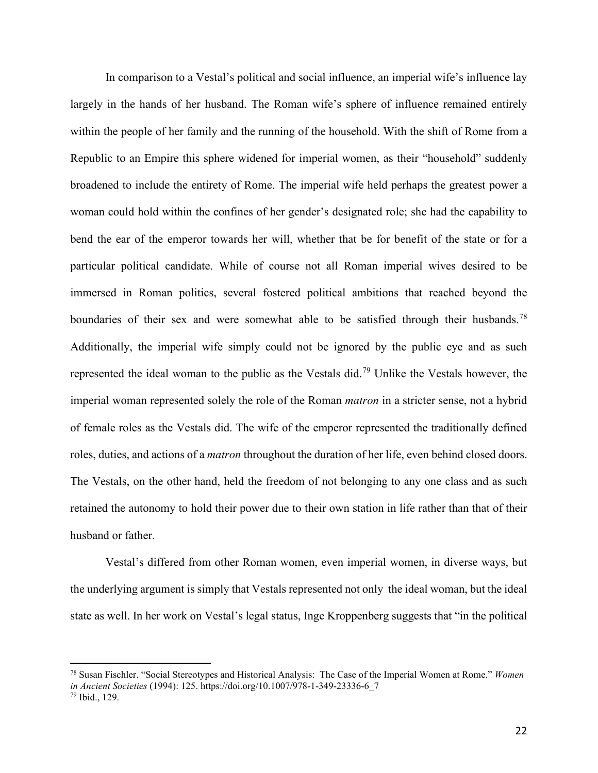In comparison to a Vestal's political and social influence, an imperial wife's influence lay largely in the hands of her husband. The Roman wife's sphere of influence remained entirely within the people of her family and the running of the household. With the shift of Rome from a Republic to an Empire this sphere widened for imperial women, as their "household" suddenly broadened to include the entirety of Rome. The imperial wife held perhaps the greatest power a woman could hold within the confines of her gender's designated role; she had the capability to bend the ear of the emperor towards her will, whether that be for benefit of the state or for a particular political candidate. While of course not all Roman imperial wives desired to be immersed in Roman politics, several fostered political ambitions that reached beyond the boundaries of their sex and were somewhat able to be satisfied through their husbands.<sup>[78](#page-23-0)</sup> Additionally, the imperial wife simply could not be ignored by the public eye and as such represented the ideal woman to the public as the Vestals did.[79](#page-23-1) Unlike the Vestals however, the imperial woman represented solely the role of the Roman *matron* in a stricter sense, not a hybrid of female roles as the Vestals did. The wife of the emperor represented the traditionally defined roles, duties, and actions of a *matron* throughout the duration of her life, even behind closed doors. The Vestals, on the other hand, held the freedom of not belonging to any one class and as such retained the autonomy to hold their power due to their own station in life rather than that of their husband or father.

Vestal's differed from other Roman women, even imperial women, in diverse ways, but the underlying argument is simply that Vestals represented not only the ideal woman, but the ideal state as well. In her work on Vestal's legal status, Inge Kroppenberg suggests that "in the political

<span id="page-23-0"></span><sup>78</sup> Susan Fischler. "Social Stereotypes and Historical Analysis: The Case of the Imperial Women at Rome." *Women in Ancient Societies* (1994): 125. [https://doi.org/10.1007/978-1-349-23336-6\\_7](https://doi.org/10.1007/978-1-349-23336-6_7)

<span id="page-23-1"></span><sup>79</sup> Ibid., 129.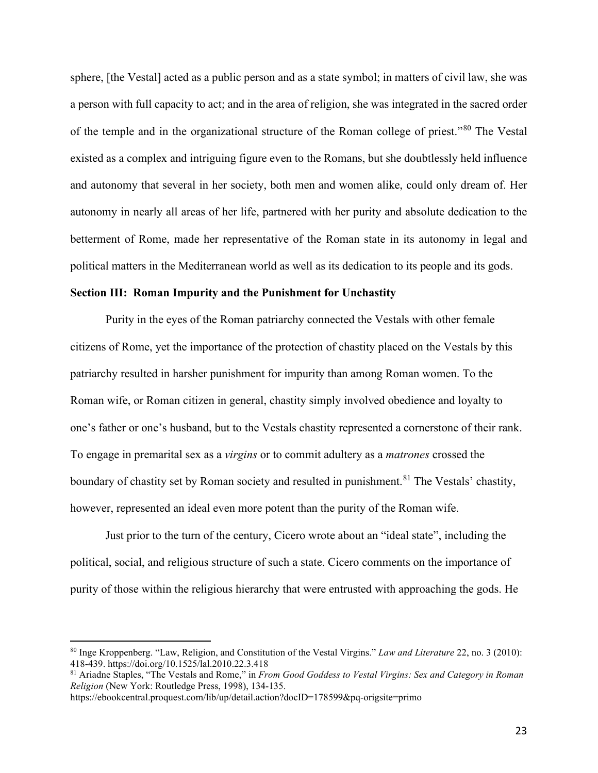sphere, [the Vestal] acted as a public person and as a state symbol; in matters of civil law, she was a person with full capacity to act; and in the area of religion, she was integrated in the sacred order of the temple and in the organizational structure of the Roman college of priest."[80](#page-24-0) The Vestal existed as a complex and intriguing figure even to the Romans, but she doubtlessly held influence and autonomy that several in her society, both men and women alike, could only dream of. Her autonomy in nearly all areas of her life, partnered with her purity and absolute dedication to the betterment of Rome, made her representative of the Roman state in its autonomy in legal and political matters in the Mediterranean world as well as its dedication to its people and its gods.

#### **Section III: Roman Impurity and the Punishment for Unchastity**

Purity in the eyes of the Roman patriarchy connected the Vestals with other female citizens of Rome, yet the importance of the protection of chastity placed on the Vestals by this patriarchy resulted in harsher punishment for impurity than among Roman women. To the Roman wife, or Roman citizen in general, chastity simply involved obedience and loyalty to one's father or one's husband, but to the Vestals chastity represented a cornerstone of their rank. To engage in premarital sex as a *virgins* or to commit adultery as a *matrones* crossed the boundary of chastity set by Roman society and resulted in punishment.<sup>[81](#page-24-1)</sup> The Vestals' chastity, however, represented an ideal even more potent than the purity of the Roman wife.

Just prior to the turn of the century, Cicero wrote about an "ideal state", including the political, social, and religious structure of such a state. Cicero comments on the importance of purity of those within the religious hierarchy that were entrusted with approaching the gods. He

<span id="page-24-0"></span><sup>80</sup> Inge Kroppenberg. "Law, Religion, and Constitution of the Vestal Virgins." *Law and Literature* 22, no. 3 (2010): 418-439.<https://doi.org/10.1525/lal.2010.22.3.418>

<span id="page-24-1"></span><sup>81</sup> Ariadne Staples, "The Vestals and Rome," in *From Good Goddess to Vestal Virgins: Sex and Category in Roman Religion* (New York: Routledge Press, 1998), 134-135.

<https://ebookcentral.proquest.com/lib/up/detail.action?docID=178599&pq-origsite=primo>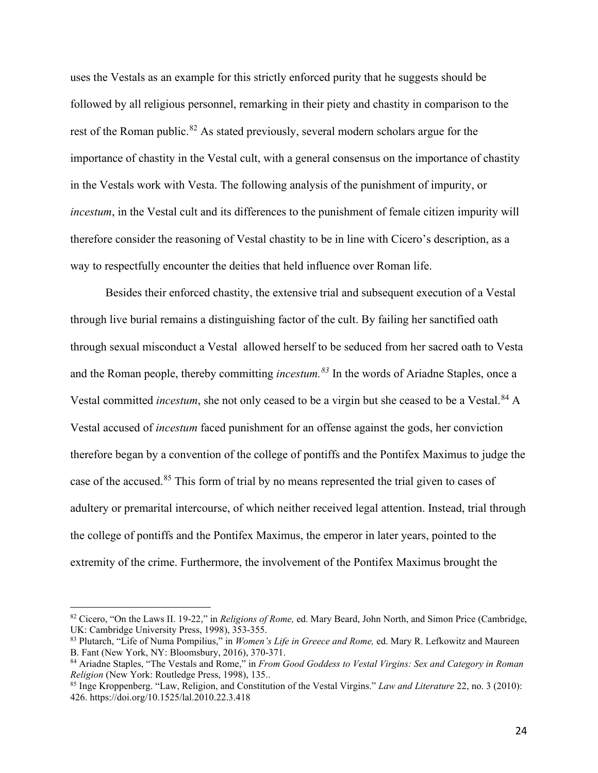uses the Vestals as an example for this strictly enforced purity that he suggests should be followed by all religious personnel, remarking in their piety and chastity in comparison to the rest of the Roman public.<sup>[82](#page-25-0)</sup> As stated previously, several modern scholars argue for the importance of chastity in the Vestal cult, with a general consensus on the importance of chastity in the Vestals work with Vesta. The following analysis of the punishment of impurity, or *incestum*, in the Vestal cult and its differences to the punishment of female citizen impurity will therefore consider the reasoning of Vestal chastity to be in line with Cicero's description, as a way to respectfully encounter the deities that held influence over Roman life.

Besides their enforced chastity, the extensive trial and subsequent execution of a Vestal through live burial remains a distinguishing factor of the cult. By failing her sanctified oath through sexual misconduct a Vestal allowed herself to be seduced from her sacred oath to Vesta and the Roman people, thereby committing *incestum.[83](#page-25-1)* In the words of Ariadne Staples, once a Vestal committed *incestum*, she not only ceased to be a virgin but she ceased to be a Vestal.<sup>[84](#page-25-2)</sup> A Vestal accused of *incestum* faced punishment for an offense against the gods, her conviction therefore began by a convention of the college of pontiffs and the Pontifex Maximus to judge the case of the accused.<sup>[85](#page-25-3)</sup> This form of trial by no means represented the trial given to cases of adultery or premarital intercourse, of which neither received legal attention. Instead, trial through the college of pontiffs and the Pontifex Maximus, the emperor in later years, pointed to the extremity of the crime. Furthermore, the involvement of the Pontifex Maximus brought the

<span id="page-25-0"></span><sup>82</sup> Cicero, "On the Laws II. 19-22," in *Religions of Rome,* ed. Mary Beard, John North, and Simon Price (Cambridge, UK: Cambridge University Press, 1998), 353-355.

<span id="page-25-1"></span><sup>83</sup> Plutarch, "Life of Numa Pompilius," in *Women's Life in Greece and Rome,* ed. Mary R. Lefkowitz and Maureen B. Fant (New York, NY: Bloomsbury, 2016), 370-371.

<span id="page-25-2"></span><sup>84</sup> Ariadne Staples, "The Vestals and Rome," in *From Good Goddess to Vestal Virgins: Sex and Category in Roman Religion* (New York: Routledge Press, 1998), 135..

<span id="page-25-3"></span><sup>85</sup> Inge Kroppenberg. "Law, Religion, and Constitution of the Vestal Virgins." *Law and Literature* 22, no. 3 (2010): 426.<https://doi.org/10.1525/lal.2010.22.3.418>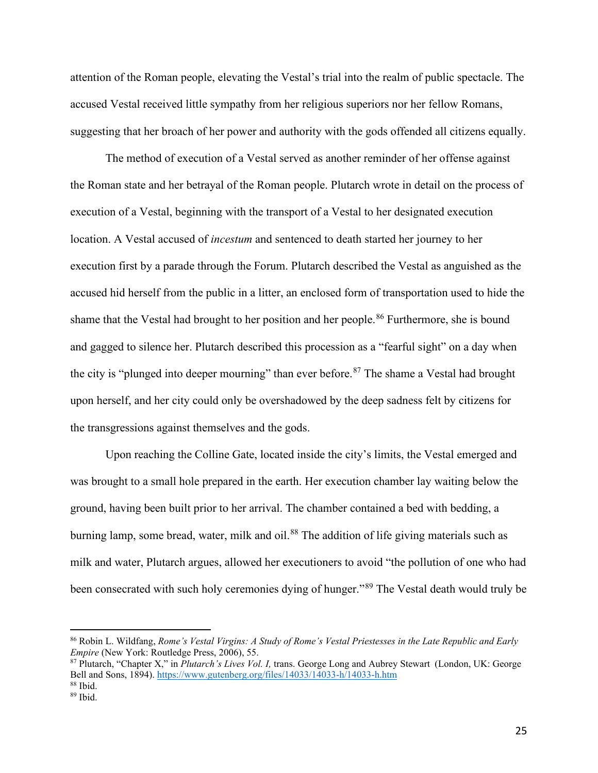attention of the Roman people, elevating the Vestal's trial into the realm of public spectacle. The accused Vestal received little sympathy from her religious superiors nor her fellow Romans, suggesting that her broach of her power and authority with the gods offended all citizens equally.

The method of execution of a Vestal served as another reminder of her offense against the Roman state and her betrayal of the Roman people. Plutarch wrote in detail on the process of execution of a Vestal, beginning with the transport of a Vestal to her designated execution location. A Vestal accused of *incestum* and sentenced to death started her journey to her execution first by a parade through the Forum. Plutarch described the Vestal as anguished as the accused hid herself from the public in a litter, an enclosed form of transportation used to hide the shame that the Vestal had brought to her position and her people.<sup>[86](#page-26-0)</sup> Furthermore, she is bound and gagged to silence her. Plutarch described this procession as a "fearful sight" on a day when the city is "plunged into deeper mourning" than ever before.<sup>87</sup> The shame a Vestal had brought upon herself, and her city could only be overshadowed by the deep sadness felt by citizens for the transgressions against themselves and the gods.

Upon reaching the Colline Gate, located inside the city's limits, the Vestal emerged and was brought to a small hole prepared in the earth. Her execution chamber lay waiting below the ground, having been built prior to her arrival. The chamber contained a bed with bedding, a burning lamp, some bread, water, milk and oil.<sup>88</sup> The addition of life giving materials such as milk and water, Plutarch argues, allowed her executioners to avoid "the pollution of one who had been consecrated with such holy ceremonies dying of hunger."<sup>[89](#page-26-3)</sup> The Vestal death would truly be

<span id="page-26-0"></span><sup>86</sup> Robin L. Wildfang, *Rome's Vestal Virgins: A Study of Rome's Vestal Priestesses in the Late Republic and Early Empire* (New York: Routledge Press, 2006), 55.

<span id="page-26-1"></span><sup>87</sup> Plutarch, "Chapter X," in *Plutarch's Lives Vol. I,* trans. George Long and Aubrey Stewart (London, UK: George Bell and Sons, 1894).<https://www.gutenberg.org/files/14033/14033-h/14033-h.htm>88 Ibid.

<span id="page-26-3"></span><span id="page-26-2"></span><sup>89</sup> Ibid.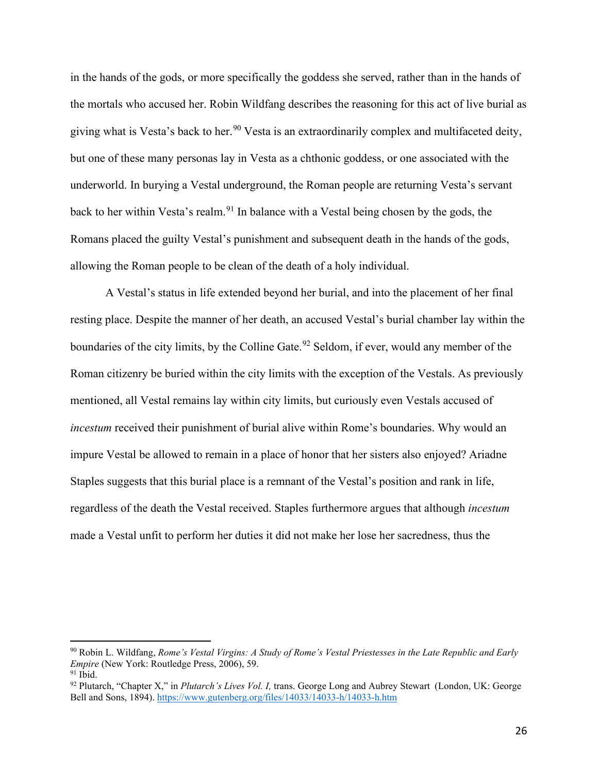in the hands of the gods, or more specifically the goddess she served, rather than in the hands of the mortals who accused her. Robin Wildfang describes the reasoning for this act of live burial as giving what is Vesta's back to her.<sup>90</sup> Vesta is an extraordinarily complex and multifaceted deity, but one of these many personas lay in Vesta as a chthonic goddess, or one associated with the underworld. In burying a Vestal underground, the Roman people are returning Vesta's servant back to her within Vesta's realm.<sup>[91](#page-27-1)</sup> In balance with a Vestal being chosen by the gods, the Romans placed the guilty Vestal's punishment and subsequent death in the hands of the gods, allowing the Roman people to be clean of the death of a holy individual.

A Vestal's status in life extended beyond her burial, and into the placement of her final resting place. Despite the manner of her death, an accused Vestal's burial chamber lay within the boundaries of the city limits, by the Colline Gate.<sup>[92](#page-27-2)</sup> Seldom, if ever, would any member of the Roman citizenry be buried within the city limits with the exception of the Vestals. As previously mentioned, all Vestal remains lay within city limits, but curiously even Vestals accused of *incestum* received their punishment of burial alive within Rome's boundaries. Why would an impure Vestal be allowed to remain in a place of honor that her sisters also enjoyed? Ariadne Staples suggests that this burial place is a remnant of the Vestal's position and rank in life, regardless of the death the Vestal received. Staples furthermore argues that although *incestum*  made a Vestal unfit to perform her duties it did not make her lose her sacredness, thus the

<span id="page-27-0"></span><sup>90</sup> Robin L. Wildfang, *Rome's Vestal Virgins: A Study of Rome's Vestal Priestesses in the Late Republic and Early Empire* (New York: Routledge Press, 2006), 59.  $91$  Ibid.

<span id="page-27-2"></span><span id="page-27-1"></span><sup>92</sup> Plutarch, "Chapter X," in *Plutarch's Lives Vol. I,* trans. George Long and Aubrey Stewart (London, UK: George Bell and Sons, 1894).<https://www.gutenberg.org/files/14033/14033-h/14033-h.htm>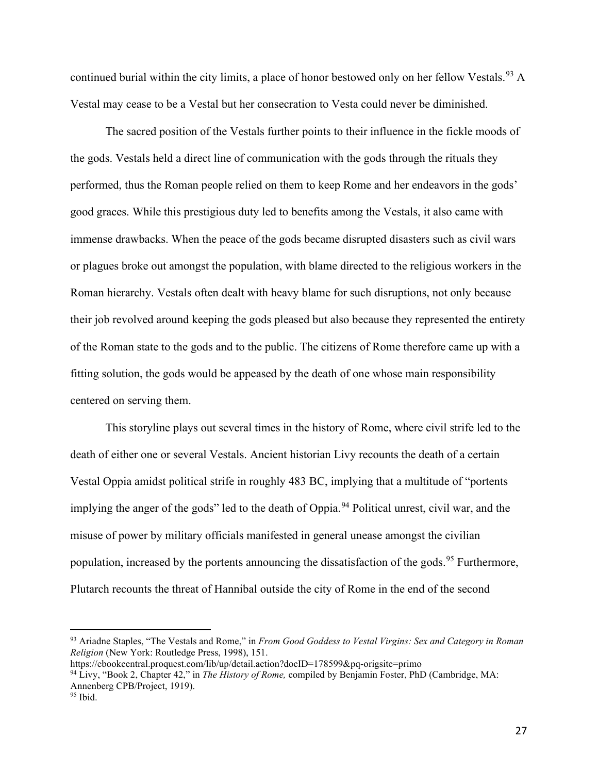continued burial within the city limits, a place of honor bestowed only on her fellow Vestals.<sup>[93](#page-28-0)</sup> A Vestal may cease to be a Vestal but her consecration to Vesta could never be diminished.

The sacred position of the Vestals further points to their influence in the fickle moods of the gods. Vestals held a direct line of communication with the gods through the rituals they performed, thus the Roman people relied on them to keep Rome and her endeavors in the gods' good graces. While this prestigious duty led to benefits among the Vestals, it also came with immense drawbacks. When the peace of the gods became disrupted disasters such as civil wars or plagues broke out amongst the population, with blame directed to the religious workers in the Roman hierarchy. Vestals often dealt with heavy blame for such disruptions, not only because their job revolved around keeping the gods pleased but also because they represented the entirety of the Roman state to the gods and to the public. The citizens of Rome therefore came up with a fitting solution, the gods would be appeased by the death of one whose main responsibility centered on serving them.

This storyline plays out several times in the history of Rome, where civil strife led to the death of either one or several Vestals. Ancient historian Livy recounts the death of a certain Vestal Oppia amidst political strife in roughly 483 BC, implying that a multitude of "portents implying the anger of the gods" led to the death of Oppia.<sup>[94](#page-28-1)</sup> Political unrest, civil war, and the misuse of power by military officials manifested in general unease amongst the civilian population, increased by the portents announcing the dissatisfaction of the gods.<sup>[95](#page-28-2)</sup> Furthermore, Plutarch recounts the threat of Hannibal outside the city of Rome in the end of the second

<span id="page-28-0"></span><sup>93</sup> Ariadne Staples, "The Vestals and Rome," in *From Good Goddess to Vestal Virgins: Sex and Category in Roman Religion* (New York: Routledge Press, 1998), 151.

<span id="page-28-2"></span><span id="page-28-1"></span><https://ebookcentral.proquest.com/lib/up/detail.action?docID=178599&pq-origsite=primo> <sup>94</sup> Livy, "Book 2, Chapter 42," in *The History of Rome,* compiled by Benjamin Foster, PhD (Cambridge, MA: Annenberg CPB/Project, 1919).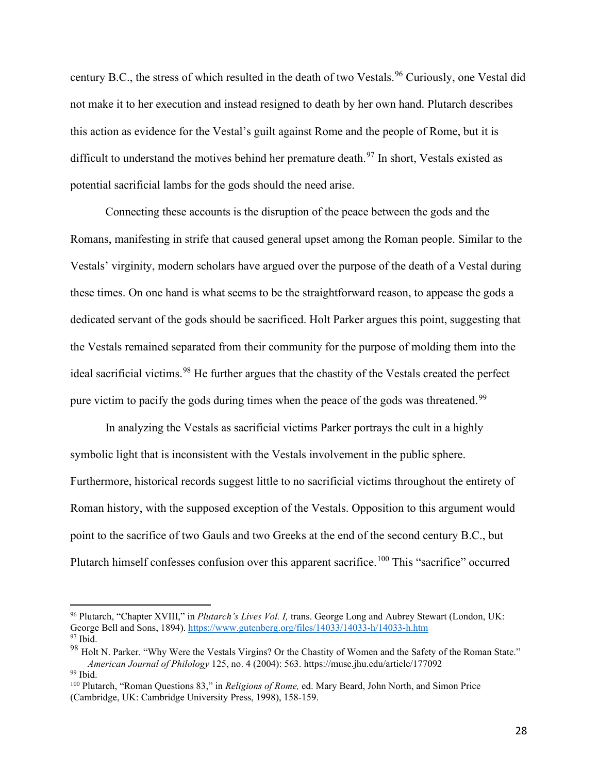century B.C., the stress of which resulted in the death of two Vestals.<sup>96</sup> Curiously, one Vestal did not make it to her execution and instead resigned to death by her own hand. Plutarch describes this action as evidence for the Vestal's guilt against Rome and the people of Rome, but it is difficult to understand the motives behind her premature death.<sup>97</sup> In short, Vestals existed as potential sacrificial lambs for the gods should the need arise.

Connecting these accounts is the disruption of the peace between the gods and the Romans, manifesting in strife that caused general upset among the Roman people. Similar to the Vestals' virginity, modern scholars have argued over the purpose of the death of a Vestal during these times. On one hand is what seems to be the straightforward reason, to appease the gods a dedicated servant of the gods should be sacrificed. Holt Parker argues this point, suggesting that the Vestals remained separated from their community for the purpose of molding them into the ideal sacrificial victims.<sup>[98](#page-29-2)</sup> He further argues that the chastity of the Vestals created the perfect pure victim to pacify the gods during times when the peace of the gods was threatened.<sup>99</sup>

In analyzing the Vestals as sacrificial victims Parker portrays the cult in a highly symbolic light that is inconsistent with the Vestals involvement in the public sphere. Furthermore, historical records suggest little to no sacrificial victims throughout the entirety of Roman history, with the supposed exception of the Vestals. Opposition to this argument would point to the sacrifice of two Gauls and two Greeks at the end of the second century B.C., but Plutarch himself confesses confusion over this apparent sacrifice.<sup>[100](#page-29-4)</sup> This "sacrifice" occurred

<span id="page-29-0"></span><sup>96</sup> Plutarch, "Chapter XVIII," in *Plutarch's Lives Vol. I,* trans. George Long and Aubrey Stewart (London, UK: George Bell and Sons, 1894).<https://www.gutenberg.org/files/14033/14033-h/14033-h.htm>97 Ibid.

<span id="page-29-2"></span><span id="page-29-1"></span><sup>&</sup>lt;sup>98</sup> Holt N. Parker. "Why Were the Vestals Virgins? Or the Chastity of Women and the Safety of the Roman State." *American Journal of Philology* 125, no. 4 (2004): 563. https://muse.jhu.edu/article/177092<br><sup>99</sup> Ibid.

<span id="page-29-4"></span><span id="page-29-3"></span><sup>100</sup> Plutarch, "Roman Questions 83," in *Religions of Rome,* ed. Mary Beard, John North, and Simon Price (Cambridge, UK: Cambridge University Press, 1998), 158-159.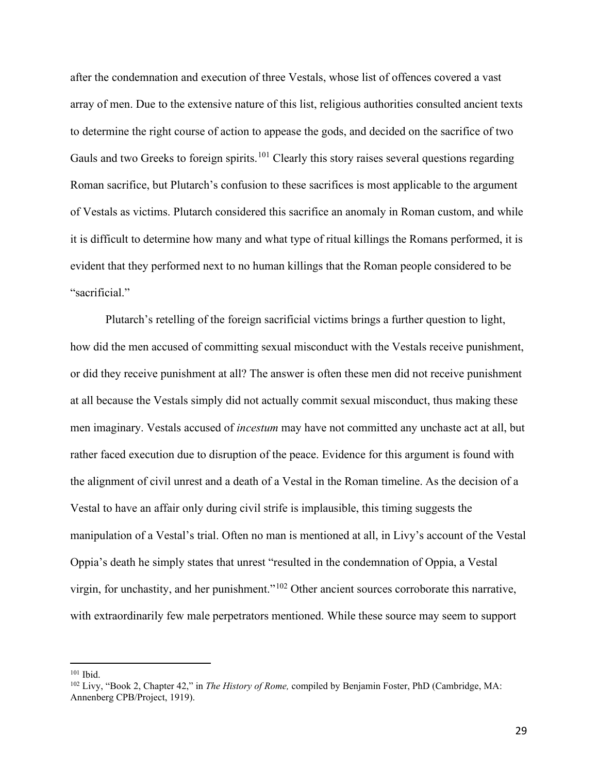after the condemnation and execution of three Vestals, whose list of offences covered a vast array of men. Due to the extensive nature of this list, religious authorities consulted ancient texts to determine the right course of action to appease the gods, and decided on the sacrifice of two Gauls and two Greeks to foreign spirits.<sup>[101](#page-30-0)</sup> Clearly this story raises several questions regarding Roman sacrifice, but Plutarch's confusion to these sacrifices is most applicable to the argument of Vestals as victims. Plutarch considered this sacrifice an anomaly in Roman custom, and while it is difficult to determine how many and what type of ritual killings the Romans performed, it is evident that they performed next to no human killings that the Roman people considered to be "sacrificial."

Plutarch's retelling of the foreign sacrificial victims brings a further question to light, how did the men accused of committing sexual misconduct with the Vestals receive punishment, or did they receive punishment at all? The answer is often these men did not receive punishment at all because the Vestals simply did not actually commit sexual misconduct, thus making these men imaginary. Vestals accused of *incestum* may have not committed any unchaste act at all, but rather faced execution due to disruption of the peace. Evidence for this argument is found with the alignment of civil unrest and a death of a Vestal in the Roman timeline. As the decision of a Vestal to have an affair only during civil strife is implausible, this timing suggests the manipulation of a Vestal's trial. Often no man is mentioned at all, in Livy's account of the Vestal Oppia's death he simply states that unrest "resulted in the condemnation of Oppia, a Vestal virgin, for unchastity, and her punishment."<sup>[102](#page-30-1)</sup> Other ancient sources corroborate this narrative, with extraordinarily few male perpetrators mentioned. While these source may seem to support

<span id="page-30-1"></span><span id="page-30-0"></span><sup>&</sup>lt;sup>101</sup> Ibid.<br><sup>102</sup> Livy, "Book 2, Chapter 42," in *The History of Rome*, compiled by Benjamin Foster, PhD (Cambridge, MA: Annenberg CPB/Project, 1919).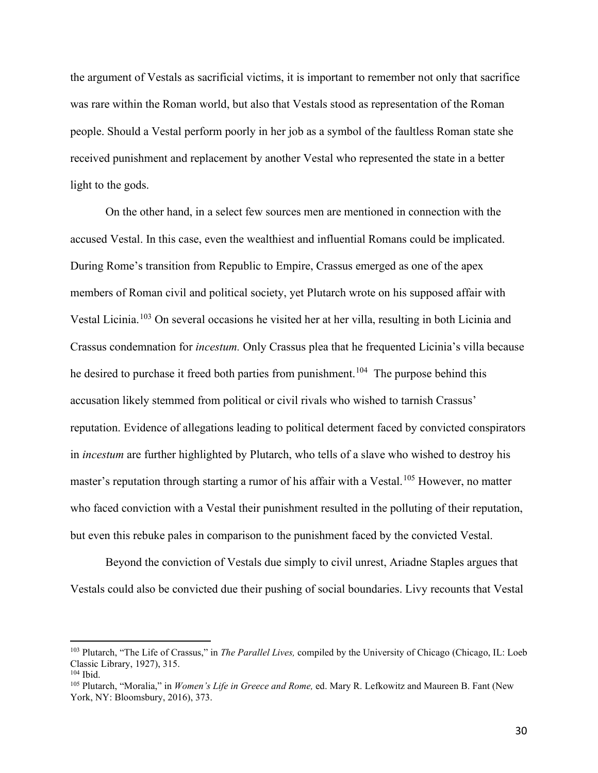the argument of Vestals as sacrificial victims, it is important to remember not only that sacrifice was rare within the Roman world, but also that Vestals stood as representation of the Roman people. Should a Vestal perform poorly in her job as a symbol of the faultless Roman state she received punishment and replacement by another Vestal who represented the state in a better light to the gods.

On the other hand, in a select few sources men are mentioned in connection with the accused Vestal. In this case, even the wealthiest and influential Romans could be implicated. During Rome's transition from Republic to Empire, Crassus emerged as one of the apex members of Roman civil and political society, yet Plutarch wrote on his supposed affair with Vestal Licinia.[103](#page-31-0) On several occasions he visited her at her villa, resulting in both Licinia and Crassus condemnation for *incestum.* Only Crassus plea that he frequented Licinia's villa because he desired to purchase it freed both parties from punishment.<sup>104</sup> The purpose behind this accusation likely stemmed from political or civil rivals who wished to tarnish Crassus' reputation. Evidence of allegations leading to political determent faced by convicted conspirators in *incestum* are further highlighted by Plutarch, who tells of a slave who wished to destroy his master's reputation through starting a rumor of his affair with a Vestal.<sup>[105](#page-31-2)</sup> However, no matter who faced conviction with a Vestal their punishment resulted in the polluting of their reputation, but even this rebuke pales in comparison to the punishment faced by the convicted Vestal.

Beyond the conviction of Vestals due simply to civil unrest, Ariadne Staples argues that Vestals could also be convicted due their pushing of social boundaries. Livy recounts that Vestal

<span id="page-31-0"></span><sup>103</sup> Plutarch, "The Life of Crassus," in *The Parallel Lives,* compiled by the University of Chicago (Chicago, IL: Loeb Classic Library, 1927), 315.<br><sup>104</sup> Ibid

<span id="page-31-2"></span><span id="page-31-1"></span>

<sup>&</sup>lt;sup>105</sup> Plutarch, "Moralia," in *Women's Life in Greece and Rome*, ed. Mary R. Lefkowitz and Maureen B. Fant (New York, NY: Bloomsbury, 2016), 373.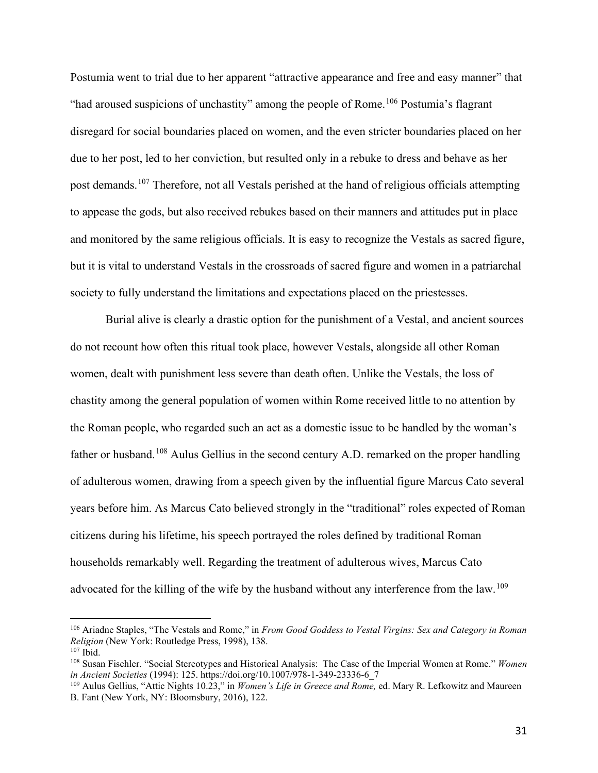Postumia went to trial due to her apparent "attractive appearance and free and easy manner" that "had aroused suspicions of unchastity" among the people of Rome.<sup>[106](#page-32-0)</sup> Postumia's flagrant disregard for social boundaries placed on women, and the even stricter boundaries placed on her due to her post, led to her conviction, but resulted only in a rebuke to dress and behave as her post demands.[107](#page-32-1) Therefore, not all Vestals perished at the hand of religious officials attempting to appease the gods, but also received rebukes based on their manners and attitudes put in place and monitored by the same religious officials. It is easy to recognize the Vestals as sacred figure, but it is vital to understand Vestals in the crossroads of sacred figure and women in a patriarchal society to fully understand the limitations and expectations placed on the priestesses.

Burial alive is clearly a drastic option for the punishment of a Vestal, and ancient sources do not recount how often this ritual took place, however Vestals, alongside all other Roman women, dealt with punishment less severe than death often. Unlike the Vestals, the loss of chastity among the general population of women within Rome received little to no attention by the Roman people, who regarded such an act as a domestic issue to be handled by the woman's father or husband.<sup>[108](#page-32-2)</sup> Aulus Gellius in the second century A.D. remarked on the proper handling of adulterous women, drawing from a speech given by the influential figure Marcus Cato several years before him. As Marcus Cato believed strongly in the "traditional" roles expected of Roman citizens during his lifetime, his speech portrayed the roles defined by traditional Roman households remarkably well. Regarding the treatment of adulterous wives, Marcus Cato advocated for the killing of the wife by the husband without any interference from the law.<sup>[109](#page-32-3)</sup>

<span id="page-32-0"></span><sup>106</sup> Ariadne Staples, "The Vestals and Rome," in *From Good Goddess to Vestal Virgins: Sex and Category in Roman Religion* (New York: Routledge Press, 1998), 138.

<span id="page-32-2"></span><span id="page-32-1"></span><sup>&</sup>lt;sup>107</sup> Ibid.<br><sup>108</sup> Susan Fischler. "Social Stereotypes and Historical Analysis: The Case of the Imperial Women at Rome." *Women in Ancient Societies* (1994): 125. [https://doi.org/10.1007/978-1-349-23336-6\\_7](https://doi.org/10.1007/978-1-349-23336-6_7)

<span id="page-32-3"></span><sup>109</sup> Aulus Gellius, "Attic Nights 10.23," in *Women's Life in Greece and Rome,* ed. Mary R. Lefkowitz and Maureen B. Fant (New York, NY: Bloomsbury, 2016), 122.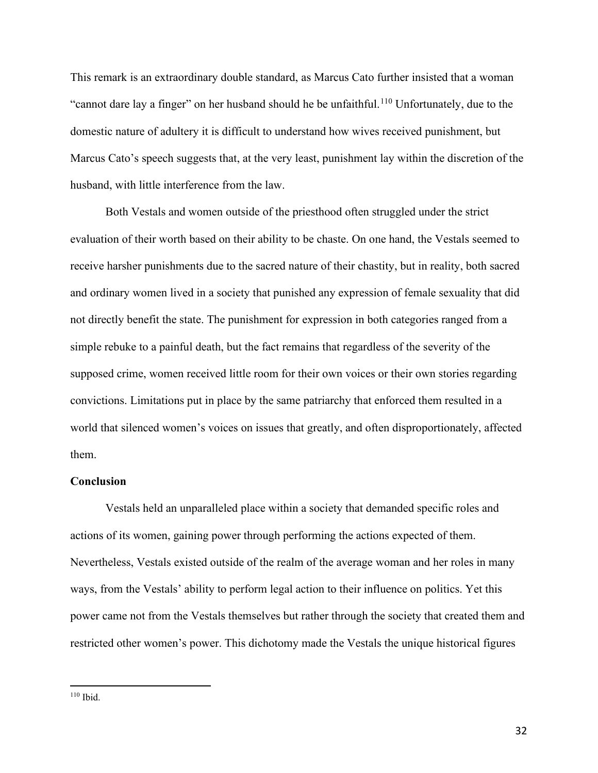This remark is an extraordinary double standard, as Marcus Cato further insisted that a woman "cannot dare lay a finger" on her husband should he be unfaithful.<sup>[110](#page-33-0)</sup> Unfortunately, due to the domestic nature of adultery it is difficult to understand how wives received punishment, but Marcus Cato's speech suggests that, at the very least, punishment lay within the discretion of the husband, with little interference from the law.

Both Vestals and women outside of the priesthood often struggled under the strict evaluation of their worth based on their ability to be chaste. On one hand, the Vestals seemed to receive harsher punishments due to the sacred nature of their chastity, but in reality, both sacred and ordinary women lived in a society that punished any expression of female sexuality that did not directly benefit the state. The punishment for expression in both categories ranged from a simple rebuke to a painful death, but the fact remains that regardless of the severity of the supposed crime, women received little room for their own voices or their own stories regarding convictions. Limitations put in place by the same patriarchy that enforced them resulted in a world that silenced women's voices on issues that greatly, and often disproportionately, affected them.

#### **Conclusion**

Vestals held an unparalleled place within a society that demanded specific roles and actions of its women, gaining power through performing the actions expected of them. Nevertheless, Vestals existed outside of the realm of the average woman and her roles in many ways, from the Vestals' ability to perform legal action to their influence on politics. Yet this power came not from the Vestals themselves but rather through the society that created them and restricted other women's power. This dichotomy made the Vestals the unique historical figures

<span id="page-33-0"></span><sup>110</sup> Ibid.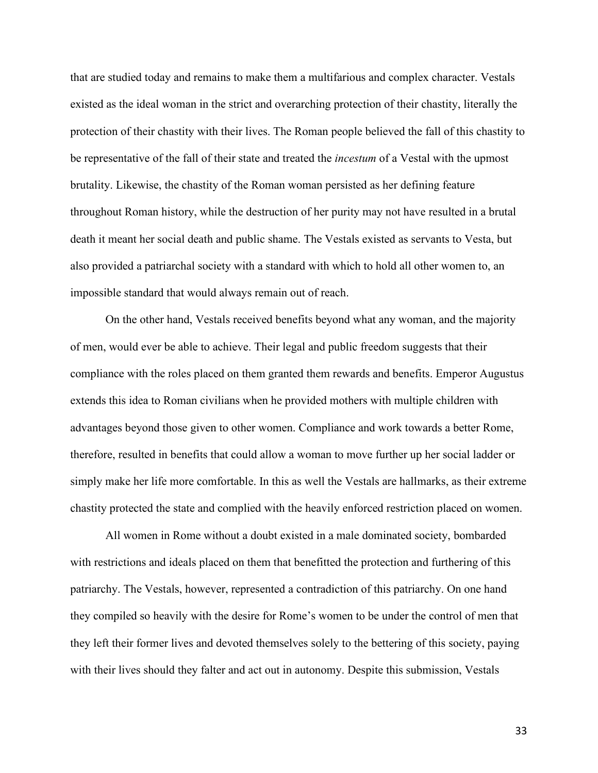that are studied today and remains to make them a multifarious and complex character. Vestals existed as the ideal woman in the strict and overarching protection of their chastity, literally the protection of their chastity with their lives. The Roman people believed the fall of this chastity to be representative of the fall of their state and treated the *incestum* of a Vestal with the upmost brutality. Likewise, the chastity of the Roman woman persisted as her defining feature throughout Roman history, while the destruction of her purity may not have resulted in a brutal death it meant her social death and public shame. The Vestals existed as servants to Vesta, but also provided a patriarchal society with a standard with which to hold all other women to, an impossible standard that would always remain out of reach.

On the other hand, Vestals received benefits beyond what any woman, and the majority of men, would ever be able to achieve. Their legal and public freedom suggests that their compliance with the roles placed on them granted them rewards and benefits. Emperor Augustus extends this idea to Roman civilians when he provided mothers with multiple children with advantages beyond those given to other women. Compliance and work towards a better Rome, therefore, resulted in benefits that could allow a woman to move further up her social ladder or simply make her life more comfortable. In this as well the Vestals are hallmarks, as their extreme chastity protected the state and complied with the heavily enforced restriction placed on women.

All women in Rome without a doubt existed in a male dominated society, bombarded with restrictions and ideals placed on them that benefitted the protection and furthering of this patriarchy. The Vestals, however, represented a contradiction of this patriarchy. On one hand they compiled so heavily with the desire for Rome's women to be under the control of men that they left their former lives and devoted themselves solely to the bettering of this society, paying with their lives should they falter and act out in autonomy. Despite this submission, Vestals

33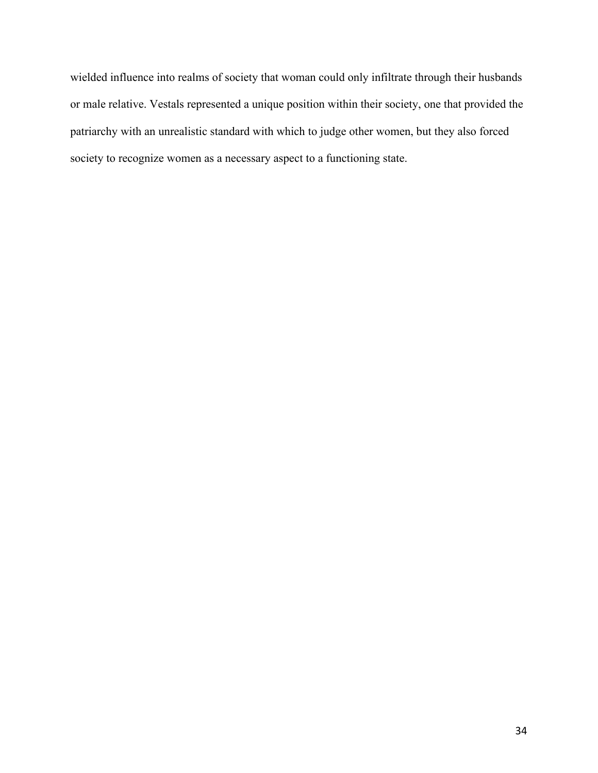wielded influence into realms of society that woman could only infiltrate through their husbands or male relative. Vestals represented a unique position within their society, one that provided the patriarchy with an unrealistic standard with which to judge other women, but they also forced society to recognize women as a necessary aspect to a functioning state.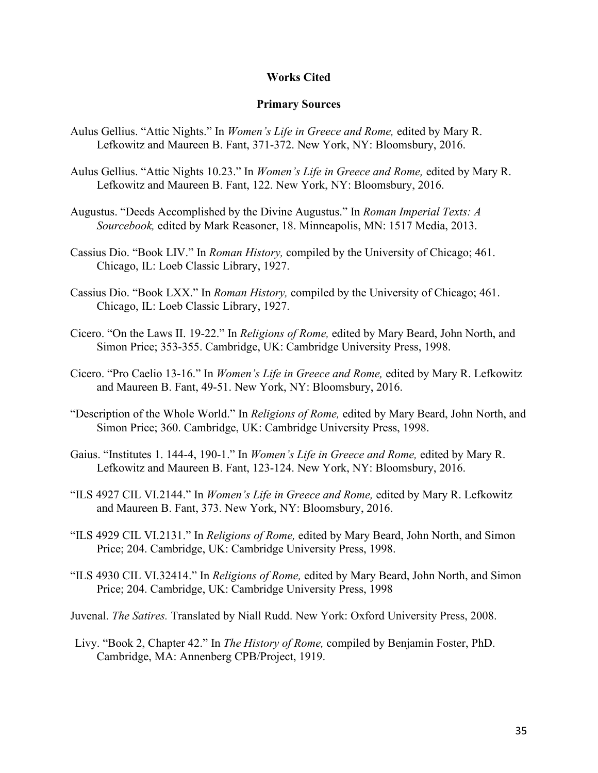#### **Works Cited**

#### **Primary Sources**

- Aulus Gellius. "Attic Nights." In *Women's Life in Greece and Rome,* edited by Mary R. Lefkowitz and Maureen B. Fant, 371-372. New York, NY: Bloomsbury, 2016.
- Aulus Gellius. "Attic Nights 10.23." In *Women's Life in Greece and Rome,* edited by Mary R. Lefkowitz and Maureen B. Fant, 122. New York, NY: Bloomsbury, 2016.
- Augustus. "Deeds Accomplished by the Divine Augustus." In *Roman Imperial Texts: A Sourcebook,* edited by Mark Reasoner, 18. Minneapolis, MN: 1517 Media, 2013.
- Cassius Dio. "Book LIV." In *Roman History,* compiled by the University of Chicago; 461. Chicago, IL: Loeb Classic Library, 1927.
- Cassius Dio. "Book LXX." In *Roman History,* compiled by the University of Chicago; 461. Chicago, IL: Loeb Classic Library, 1927.
- Cicero. "On the Laws II. 19-22." In *Religions of Rome,* edited by Mary Beard, John North, and Simon Price; 353-355. Cambridge, UK: Cambridge University Press, 1998.
- Cicero. "Pro Caelio 13-16." In *Women's Life in Greece and Rome,* edited by Mary R. Lefkowitz and Maureen B. Fant, 49-51. New York, NY: Bloomsbury, 2016.
- "Description of the Whole World." In *Religions of Rome,* edited by Mary Beard, John North, and Simon Price; 360. Cambridge, UK: Cambridge University Press, 1998.
- Gaius. "Institutes 1. 144-4, 190-1." In *Women's Life in Greece and Rome,* edited by Mary R. Lefkowitz and Maureen B. Fant, 123-124. New York, NY: Bloomsbury, 2016.
- "ILS 4927 CIL VI.2144." In *Women's Life in Greece and Rome,* edited by Mary R. Lefkowitz and Maureen B. Fant, 373. New York, NY: Bloomsbury, 2016.
- "ILS 4929 CIL VI.2131." In *Religions of Rome,* edited by Mary Beard, John North, and Simon Price; 204. Cambridge, UK: Cambridge University Press, 1998.
- "ILS 4930 CIL VI.32414." In *Religions of Rome,* edited by Mary Beard, John North, and Simon Price; 204. Cambridge, UK: Cambridge University Press, 1998
- Juvenal. *The Satires.* Translated by Niall Rudd. New York: Oxford University Press, 2008.
- Livy. "Book 2, Chapter 42." In *The History of Rome,* compiled by Benjamin Foster, PhD. Cambridge, MA: Annenberg CPB/Project, 1919.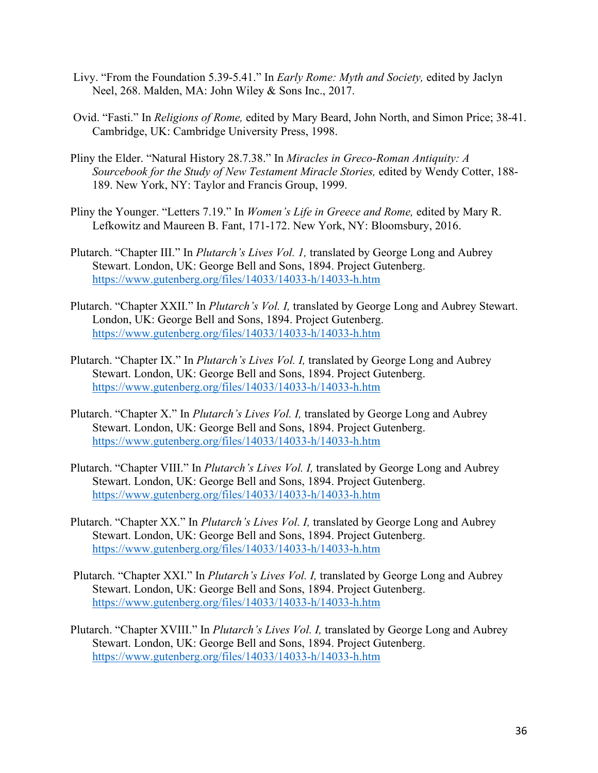- Livy. "From the Foundation 5.39-5.41." In *Early Rome: Myth and Society,* edited by Jaclyn Neel, 268. Malden, MA: John Wiley & Sons Inc., 2017.
- Ovid. "Fasti." In *Religions of Rome,* edited by Mary Beard, John North, and Simon Price; 38-41. Cambridge, UK: Cambridge University Press, 1998.
- Pliny the Elder. "Natural History 28.7.38." In *Miracles in Greco-Roman Antiquity: A Sourcebook for the Study of New Testament Miracle Stories,* edited by Wendy Cotter, 188- 189. New York, NY: Taylor and Francis Group, 1999.
- Pliny the Younger. "Letters 7.19." In *Women's Life in Greece and Rome,* edited by Mary R. Lefkowitz and Maureen B. Fant, 171-172. New York, NY: Bloomsbury, 2016.
- Plutarch. "Chapter III." In *Plutarch's Lives Vol. 1,* translated by George Long and Aubrey Stewart. London, UK: George Bell and Sons, 1894. Project Gutenberg. <https://www.gutenberg.org/files/14033/14033-h/14033-h.htm>
- Plutarch. "Chapter XXII." In *Plutarch's Vol. I,* translated by George Long and Aubrey Stewart. London, UK: George Bell and Sons, 1894. Project Gutenberg. <https://www.gutenberg.org/files/14033/14033-h/14033-h.htm>
- Plutarch. "Chapter IX." In *Plutarch's Lives Vol. I,* translated by George Long and Aubrey Stewart. London, UK: George Bell and Sons, 1894. Project Gutenberg. <https://www.gutenberg.org/files/14033/14033-h/14033-h.htm>
- Plutarch. "Chapter X." In *Plutarch's Lives Vol. I,* translated by George Long and Aubrey Stewart. London, UK: George Bell and Sons, 1894. Project Gutenberg. <https://www.gutenberg.org/files/14033/14033-h/14033-h.htm>
- Plutarch. "Chapter VIII." In *Plutarch's Lives Vol. I,* translated by George Long and Aubrey Stewart. London, UK: George Bell and Sons, 1894. Project Gutenberg. <https://www.gutenberg.org/files/14033/14033-h/14033-h.htm>
- Plutarch. "Chapter XX." In *Plutarch's Lives Vol. I,* translated by George Long and Aubrey Stewart. London, UK: George Bell and Sons, 1894. Project Gutenberg. <https://www.gutenberg.org/files/14033/14033-h/14033-h.htm>
- Plutarch. "Chapter XXI." In *Plutarch's Lives Vol. I,* translated by George Long and Aubrey Stewart. London, UK: George Bell and Sons, 1894. Project Gutenberg. <https://www.gutenberg.org/files/14033/14033-h/14033-h.htm>
- Plutarch. "Chapter XVIII." In *Plutarch's Lives Vol. I,* translated by George Long and Aubrey Stewart. London, UK: George Bell and Sons, 1894. Project Gutenberg. <https://www.gutenberg.org/files/14033/14033-h/14033-h.htm>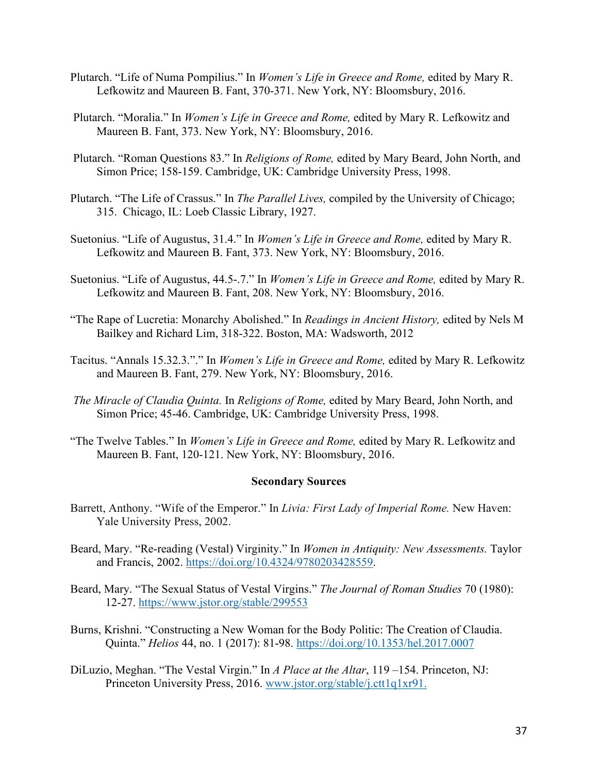- Plutarch. "Life of Numa Pompilius." In *Women's Life in Greece and Rome,* edited by Mary R. Lefkowitz and Maureen B. Fant, 370-371. New York, NY: Bloomsbury, 2016.
- Plutarch. "Moralia." In *Women's Life in Greece and Rome,* edited by Mary R. Lefkowitz and Maureen B. Fant, 373. New York, NY: Bloomsbury, 2016.
- Plutarch. "Roman Questions 83." In *Religions of Rome,* edited by Mary Beard, John North, and Simon Price; 158-159. Cambridge, UK: Cambridge University Press, 1998.
- Plutarch. "The Life of Crassus." In *The Parallel Lives,* compiled by the University of Chicago; 315. Chicago, IL: Loeb Classic Library, 1927.
- Suetonius. "Life of Augustus, 31.4." In *Women's Life in Greece and Rome,* edited by Mary R. Lefkowitz and Maureen B. Fant, 373. New York, NY: Bloomsbury, 2016.
- Suetonius. "Life of Augustus, 44.5-.7." In *Women's Life in Greece and Rome,* edited by Mary R. Lefkowitz and Maureen B. Fant, 208. New York, NY: Bloomsbury, 2016.
- "The Rape of Lucretia: Monarchy Abolished." In *Readings in Ancient History,* edited by Nels M Bailkey and Richard Lim, 318-322. Boston, MA: Wadsworth, 2012
- Tacitus. "Annals 15.32.3."." In *Women's Life in Greece and Rome,* edited by Mary R. Lefkowitz and Maureen B. Fant, 279. New York, NY: Bloomsbury, 2016.
- *The Miracle of Claudia Quinta.* In *Religions of Rome,* edited by Mary Beard, John North, and Simon Price; 45-46. Cambridge, UK: Cambridge University Press, 1998.
- "The Twelve Tables." In *Women's Life in Greece and Rome,* edited by Mary R. Lefkowitz and Maureen B. Fant, 120-121. New York, NY: Bloomsbury, 2016.

#### **Secondary Sources**

- Barrett, Anthony. "Wife of the Emperor." In *Livia: First Lady of Imperial Rome.* New Haven: Yale University Press, 2002.
- Beard, Mary. "Re-reading (Vestal) Virginity." In *Women in Antiquity: New Assessments.* Taylor and Francis, 2002. [https://doi.org/10.4324/9780203428559.](https://doi.org/10.4324/9780203428559)
- Beard, Mary. "The Sexual Status of Vestal Virgins." *The Journal of Roman Studies* 70 (1980): 12-27.<https://www.jstor.org/stable/299553>
- Burns, Krishni. "Constructing a New Woman for the Body Politic: The Creation of Claudia. Quinta." *Helios* 44, no. 1 (2017): 81-98.<https://doi.org/10.1353/hel.2017.0007>
- DiLuzio, Meghan. "The Vestal Virgin." In *A Place at the Altar*, 119 –154. Princeton, NJ: Princeton University Press, 2016. [www.jstor.org/stable/j.ctt1q1xr91.](http://www.jstor.org/stable/j.ctt1q1xr91)